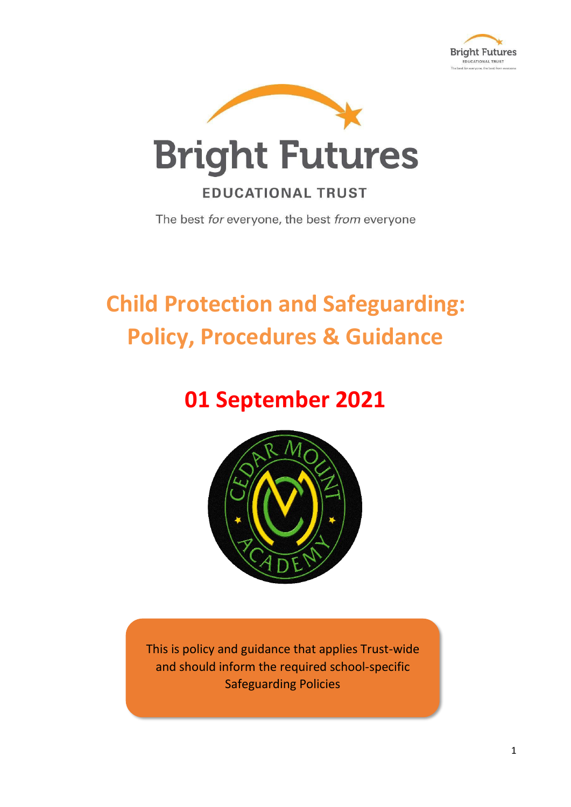



The best for everyone, the best from everyone

# **Child Protection and Safeguarding: Policy, Procedures & Guidance**

# **01 September 2021**



This is policy and guidance that applies Trust-wide and should inform the required school-specific Safeguarding Policies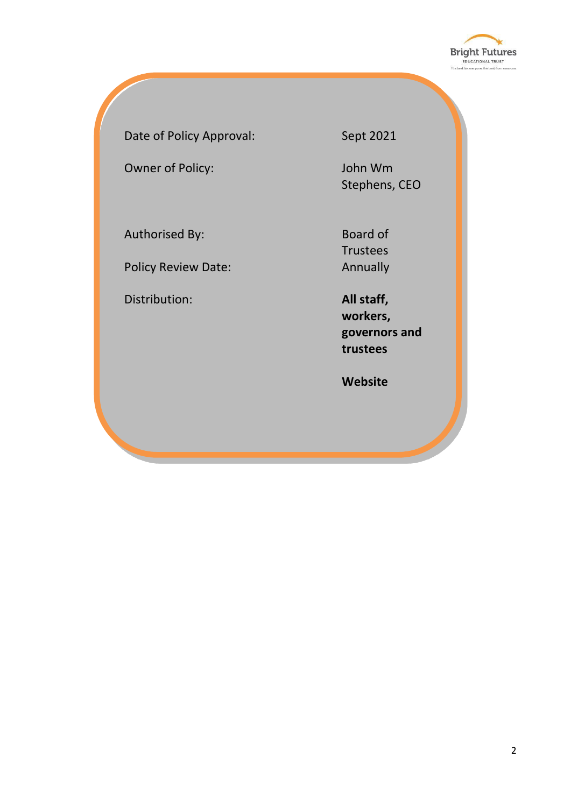

Date of Policy Approval: Sept 2021

Owner of Policy: John Wm

Authorised By: Board of

Policy Review Date: Annually

Distribution: **All staff,** 

Stephens, CEO

Trustees

**workers, governors and trustees** 

**Website**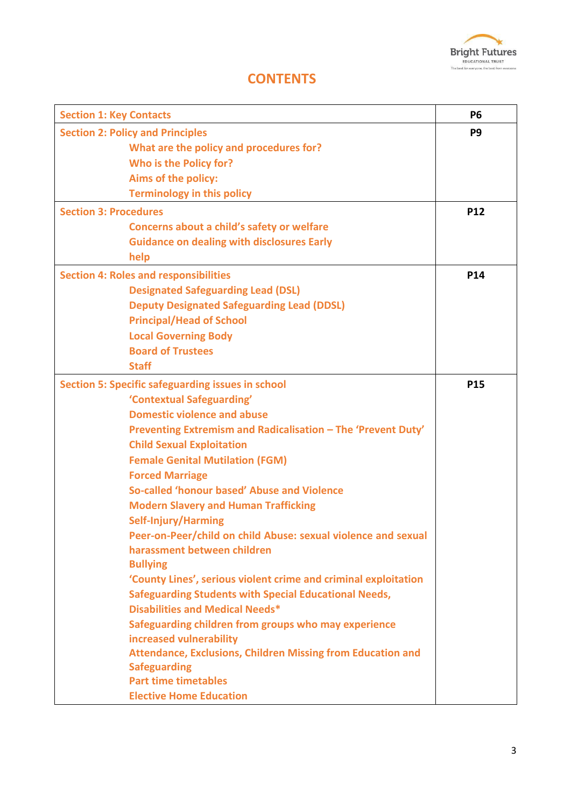

# **CONTENTS**

| <b>Section 1: Key Contacts</b>                                                  | <b>P6</b>      |
|---------------------------------------------------------------------------------|----------------|
| <b>Section 2: Policy and Principles</b>                                         | P <sub>9</sub> |
| What are the policy and procedures for?                                         |                |
| Who is the Policy for?                                                          |                |
| Aims of the policy:                                                             |                |
| <b>Terminology in this policy</b>                                               |                |
| <b>Section 3: Procedures</b>                                                    | <b>P12</b>     |
| Concerns about a child's safety or welfare                                      |                |
| <b>Guidance on dealing with disclosures Early</b>                               |                |
| help                                                                            |                |
| <b>Section 4: Roles and responsibilities</b>                                    | P14            |
| <b>Designated Safeguarding Lead (DSL)</b>                                       |                |
| <b>Deputy Designated Safeguarding Lead (DDSL)</b>                               |                |
| <b>Principal/Head of School</b>                                                 |                |
| <b>Local Governing Body</b>                                                     |                |
| <b>Board of Trustees</b>                                                        |                |
| <b>Staff</b>                                                                    |                |
| <b>Section 5: Specific safeguarding issues in school</b>                        | <b>P15</b>     |
| 'Contextual Safeguarding'                                                       |                |
| <b>Domestic violence and abuse</b>                                              |                |
| Preventing Extremism and Radicalisation - The 'Prevent Duty'                    |                |
| <b>Child Sexual Exploitation</b>                                                |                |
| <b>Female Genital Mutilation (FGM)</b>                                          |                |
| <b>Forced Marriage</b>                                                          |                |
| So-called 'honour based' Abuse and Violence                                     |                |
| <b>Modern Slavery and Human Trafficking</b>                                     |                |
| Self-Injury/Harming                                                             |                |
| Peer-on-Peer/child on child Abuse: sexual violence and sexual                   |                |
| harassment between children                                                     |                |
| <b>Bullying</b>                                                                 |                |
| 'County Lines', serious violent crime and criminal exploitation                 |                |
| <b>Safeguarding Students with Special Educational Needs,</b>                    |                |
| <b>Disabilities and Medical Needs*</b>                                          |                |
| Safeguarding children from groups who may experience<br>increased vulnerability |                |
| <b>Attendance, Exclusions, Children Missing from Education and</b>              |                |
| <b>Safeguarding</b>                                                             |                |
| <b>Part time timetables</b>                                                     |                |
| <b>Elective Home Education</b>                                                  |                |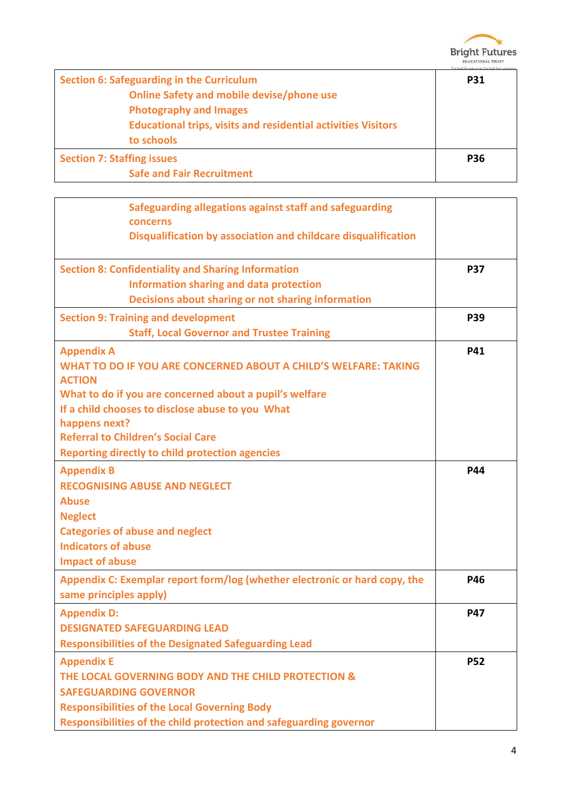

| Section 6: Safeguarding in the Curriculum                            | <b>P31</b> |
|----------------------------------------------------------------------|------------|
| <b>Online Safety and mobile devise/phone use</b>                     |            |
| <b>Photography and Images</b>                                        |            |
| <b>Educational trips, visits and residential activities Visitors</b> |            |
| to schools                                                           |            |
| <b>Section 7: Staffing issues</b>                                    | <b>P36</b> |
| <b>Safe and Fair Recruitment</b>                                     |            |

| Safeguarding allegations against staff and safeguarding                    |            |
|----------------------------------------------------------------------------|------------|
| concerns<br>Disqualification by association and childcare disqualification |            |
|                                                                            |            |
| <b>Section 8: Confidentiality and Sharing Information</b>                  | <b>P37</b> |
| <b>Information sharing and data protection</b>                             |            |
| Decisions about sharing or not sharing information                         |            |
| <b>Section 9: Training and development</b>                                 | <b>P39</b> |
| <b>Staff, Local Governor and Trustee Training</b>                          |            |
| <b>Appendix A</b>                                                          | <b>P41</b> |
| WHAT TO DO IF YOU ARE CONCERNED ABOUT A CHILD'S WELFARE: TAKING            |            |
| <b>ACTION</b>                                                              |            |
| What to do if you are concerned about a pupil's welfare                    |            |
| If a child chooses to disclose abuse to you What                           |            |
| happens next?                                                              |            |
| <b>Referral to Children's Social Care</b>                                  |            |
| <b>Reporting directly to child protection agencies</b>                     |            |
| <b>Appendix B</b>                                                          | <b>P44</b> |
| <b>RECOGNISING ABUSE AND NEGLECT</b>                                       |            |
| <b>Abuse</b>                                                               |            |
| <b>Neglect</b>                                                             |            |
| <b>Categories of abuse and neglect</b>                                     |            |
| <b>Indicators of abuse</b>                                                 |            |
| <b>Impact of abuse</b>                                                     |            |
| Appendix C: Exemplar report form/log (whether electronic or hard copy, the | <b>P46</b> |
| same principles apply)                                                     |            |
| <b>Appendix D:</b>                                                         | <b>P47</b> |
| <b>DESIGNATED SAFEGUARDING LEAD</b>                                        |            |
| <b>Responsibilities of the Designated Safeguarding Lead</b>                |            |
| <b>Appendix E</b>                                                          | <b>P52</b> |
| THE LOCAL GOVERNING BODY AND THE CHILD PROTECTION &                        |            |
| <b>SAFEGUARDING GOVERNOR</b>                                               |            |
| <b>Responsibilities of the Local Governing Body</b>                        |            |
| Responsibilities of the child protection and safeguarding governor         |            |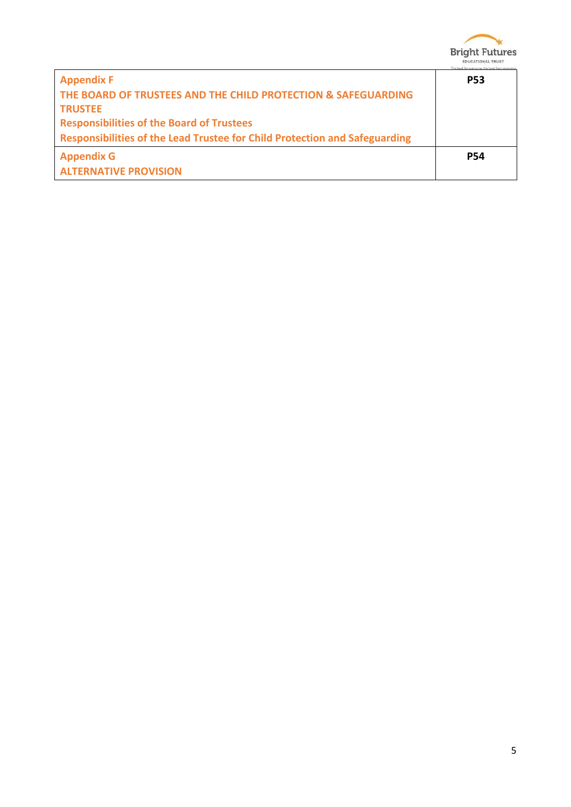

| <b>Appendix F</b>                                                          | <b>P53</b> |
|----------------------------------------------------------------------------|------------|
| THE BOARD OF TRUSTEES AND THE CHILD PROTECTION & SAFEGUARDING              |            |
| <b>TRUSTEE</b>                                                             |            |
| <b>Responsibilities of the Board of Trustees</b>                           |            |
| Responsibilities of the Lead Trustee for Child Protection and Safeguarding |            |
| <b>Appendix G</b>                                                          | <b>P54</b> |
| <b>ALTERNATIVE PROVISION</b>                                               |            |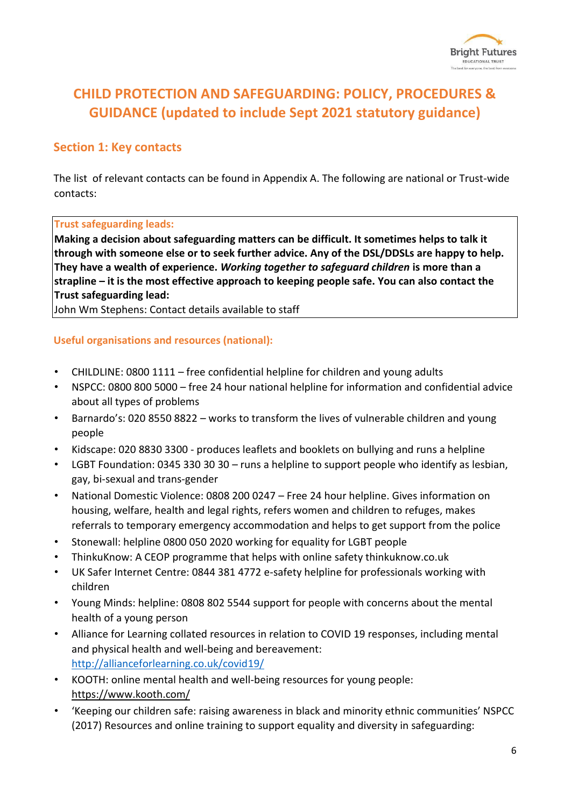

# **CHILD PROTECTION AND SAFEGUARDING: POLICY, PROCEDURES & GUIDANCE (updated to include Sept 2021 statutory guidance)**

# **Section 1: Key contacts**

The list of relevant contacts can be found in Appendix A. The following are national or Trust-wide contacts:

## **Trust safeguarding leads:**

**Making a decision about safeguarding matters can be difficult. It sometimes helps to talk it through with someone else or to seek further advice. Any of the DSL/DDSLs are happy to help. They have a wealth of experience.** *Working together to safeguard children* **is more than a strapline – it is the most effective approach to keeping people safe. You can also contact the Trust safeguarding lead:** 

John Wm Stephens: Contact details available to staff

## **Useful organisations and resources (national):**

- CHILDLINE: 0800 1111 free confidential helpline for children and young adults
- NSPCC: 0800 800 5000 free 24 hour national helpline for information and confidential advice about all types of problems
- Barnardo's: 020 8550 8822 works to transform the lives of vulnerable children and young people
- Kidscape: 020 8830 3300 produces leaflets and booklets on bullying and runs a helpline
- LGBT Foundation: 0345 330 30 30 runs a helpline to support people who identify as lesbian, gay, bi-sexual and trans-gender
- National Domestic Violence: 0808 200 0247 Free 24 hour helpline. Gives information on housing, welfare, health and legal rights, refers women and children to refuges, makes referrals to temporary emergency accommodation and helps to get support from the police
- Stonewall: helpline 0800 050 2020 working for equality for LGBT people
- ThinkuKnow: A CEOP programme that helps with online safety thinkuknow.co.uk
- UK Safer Internet Centre: 0844 381 4772 e-safety helpline for professionals working with children
- Young Minds: helpline: 0808 802 5544 support for people with concerns about the mental health of a young person
- Alliance for Learning collated resources in relation to COVID 19 responses, including mental and physical health and well-being and bereavement: [http://allianceforlearning.co.uk/covid19/](http://allianceforlearning.co.uk/covid-19/)
- KOOTH: online mental health and well-being resources for young people: <https://www.kooth.com/>
- 'Keeping our children safe: raising awareness in black and minority ethnic communities' NSPCC (2017) Resources and online training to support equality and diversity in safeguarding: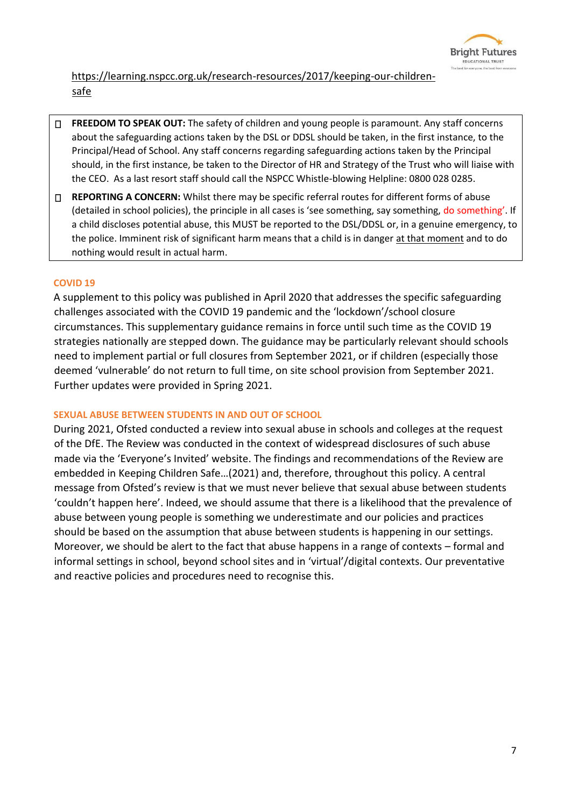

[https://learning.nspcc.org.uk/research-resources/2017/keeping-our-children](https://learning.nspcc.org.uk/research-resources/2017/keeping-our-children-safe)[safe](https://learning.nspcc.org.uk/research-resources/2017/keeping-our-children-safe)

- **FREEDOM TO SPEAK OUT:** The safety of children and young people is paramount. Any staff concerns about the safeguarding actions taken by the DSL or DDSL should be taken, in the first instance, to the Principal/Head of School. Any staff concerns regarding safeguarding actions taken by the Principal should, in the first instance, be taken to the Director of HR and Strategy of the Trust who will liaise with the CEO. As a last resort staff should call the NSPCC Whistle-blowing Helpline: 0800 028 0285.
- **REPORTING A CONCERN:** Whilst there may be specific referral routes for different forms of abuse (detailed in school policies), the principle in all cases is 'see something, say something, do something'. If a child discloses potential abuse, this MUST be reported to the DSL/DDSL or, in a genuine emergency, to the police. Imminent risk of significant harm means that a child is in danger at that moment and to do nothing would result in actual harm.

#### **COVID 19**

A supplement to this policy was published in April 2020 that addresses the specific safeguarding challenges associated with the COVID 19 pandemic and the 'lockdown'/school closure circumstances. This supplementary guidance remains in force until such time as the COVID 19 strategies nationally are stepped down. The guidance may be particularly relevant should schools need to implement partial or full closures from September 2021, or if children (especially those deemed 'vulnerable' do not return to full time, on site school provision from September 2021. Further updates were provided in Spring 2021.

#### **SEXUAL ABUSE BETWEEN STUDENTS IN AND OUT OF SCHOOL**

During 2021, Ofsted conducted a review into sexual abuse in schools and colleges at the request of the DfE. The Review was conducted in the context of widespread disclosures of such abuse made via the 'Everyone's Invited' website. The findings and recommendations of the Review are embedded in Keeping Children Safe…(2021) and, therefore, throughout this policy. A central message from Ofsted's review is that we must never believe that sexual abuse between students 'couldn't happen here'. Indeed, we should assume that there is a likelihood that the prevalence of abuse between young people is something we underestimate and our policies and practices should be based on the assumption that abuse between students is happening in our settings. Moreover, we should be alert to the fact that abuse happens in a range of contexts – formal and informal settings in school, beyond school sites and in 'virtual'/digital contexts. Our preventative and reactive policies and procedures need to recognise this.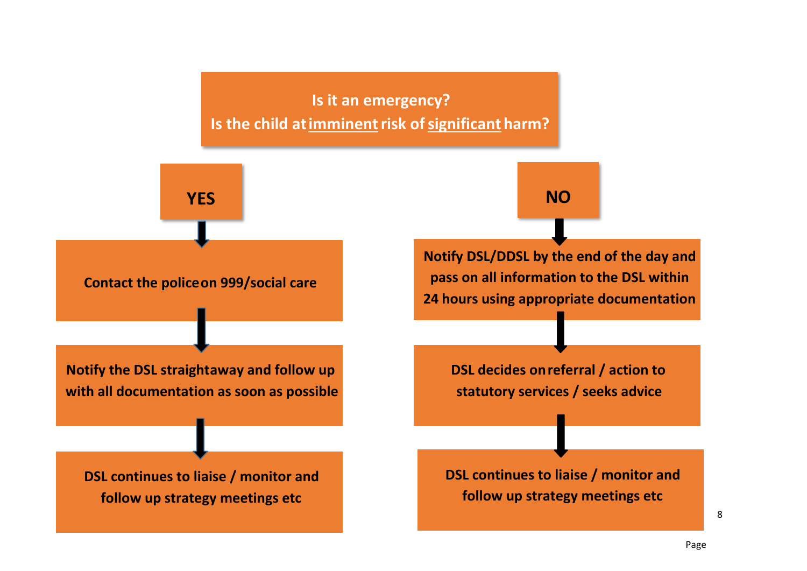# **Is it an emergency? Is the child at imminent risk of significant harm?**

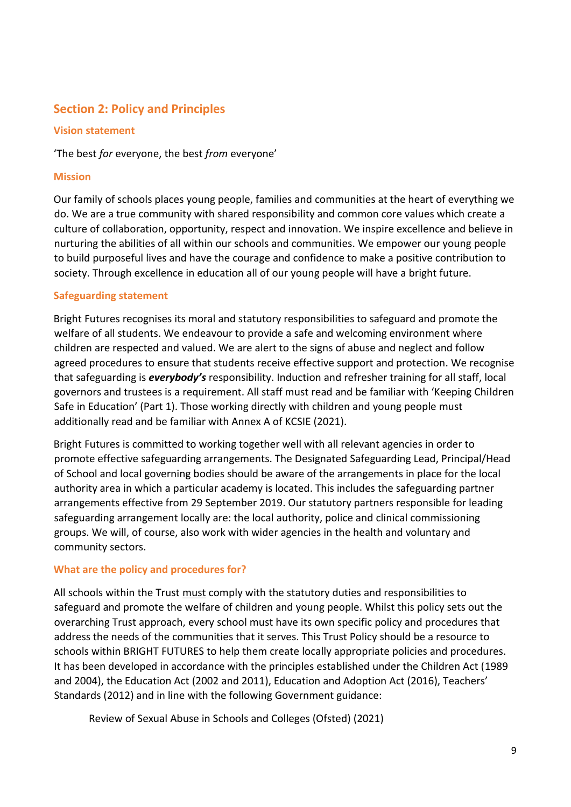# **Section 2: Policy and Principles**

## **Vision statement**

'The best *for* everyone, the best *from* everyone'

## **Mission**

Our family of schools places young people, families and communities at the heart of everything we do. We are a true community with shared responsibility and common core values which create a culture of collaboration, opportunity, respect and innovation. We inspire excellence and believe in nurturing the abilities of all within our schools and communities. We empower our young people to build purposeful lives and have the courage and confidence to make a positive contribution to society. Through excellence in education all of our young people will have a bright future.

## **Safeguarding statement**

Bright Futures recognises its moral and statutory responsibilities to safeguard and promote the welfare of all students. We endeavour to provide a safe and welcoming environment where children are respected and valued. We are alert to the signs of abuse and neglect and follow agreed procedures to ensure that students receive effective support and protection. We recognise that safeguarding is *everybody's* responsibility. Induction and refresher training for all staff, local governors and trustees is a requirement. All staff must read and be familiar with 'Keeping Children Safe in Education' (Part 1). Those working directly with children and young people must additionally read and be familiar with Annex A of KCSIE (2021).

Bright Futures is committed to working together well with all relevant agencies in order to promote effective safeguarding arrangements. The Designated Safeguarding Lead, Principal/Head of School and local governing bodies should be aware of the arrangements in place for the local authority area in which a particular academy is located. This includes the safeguarding partner arrangements effective from 29 September 2019. Our statutory partners responsible for leading safeguarding arrangement locally are: the local authority, police and clinical commissioning groups. We will, of course, also work with wider agencies in the health and voluntary and community sectors.

## **What are the policy and procedures for?**

All schools within the Trust must comply with the statutory duties and responsibilities to safeguard and promote the welfare of children and young people. Whilst this policy sets out the overarching Trust approach, every school must have its own specific policy and procedures that address the needs of the communities that it serves. This Trust Policy should be a resource to schools within BRIGHT FUTURES to help them create locally appropriate policies and procedures. It has been developed in accordance with the principles established under the Children Act (1989 and 2004), the Education Act (2002 and 2011), Education and Adoption Act (2016), Teachers' Standards (2012) and in line with the following Government guidance:

Review of Sexual Abuse in Schools and Colleges (Ofsted) (2021)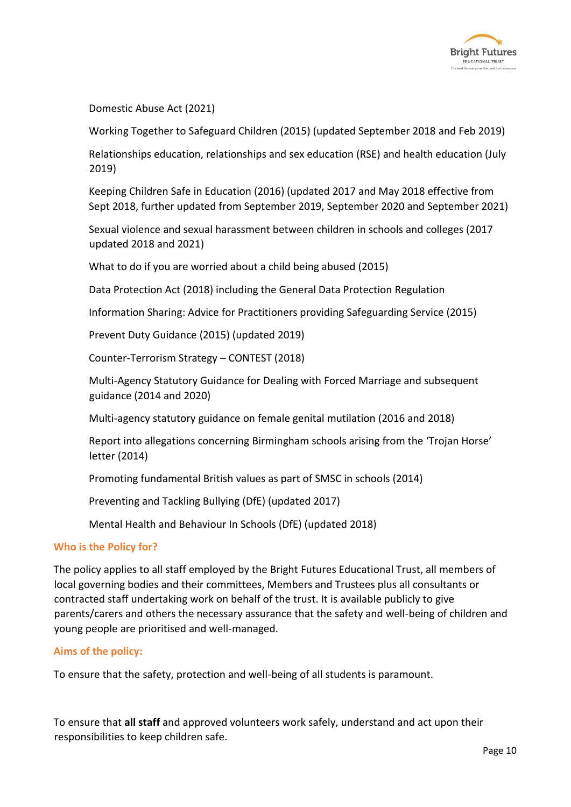

Domestic Abuse Act (2021)

Working Together to Safeguard Children (2015) (updated September 2018 and Feb 2019)

Relationships education, relationships and sex education (RSE) and health education (July 2019)

Keeping Children Safe in Education (2016) (updated 2017 and May 2018 effective from Sept 2018, further updated from September 2019, September 2020 and September 2021)

Sexual violence and sexual harassment between children in schools and colleges (2017 updated 2018 and 2021)

What to do if you are worried about a child being abused (2015)

Data Protection Act (2018) including the General Data Protection Regulation

Information Sharing: Advice for Practitioners providing Safeguarding Service (2015)

Prevent Duty Guidance (2015) (updated 2019)

Counter-Terrorism Strategy – CONTEST (2018)

Multi-Agency Statutory Guidance for Dealing with Forced Marriage and subsequent guidance (2014 and 2020)

Multi-agency statutory guidance on female genital mutilation (2016 and 2018)

Report into allegations concerning Birmingham schools arising from the 'Trojan Horse' letter (2014)

Promoting fundamental British values as part of SMSC in schools (2014)

Preventing and Tackling Bullying (DfE) (updated 2017)

Mental Health and Behaviour In Schools (DfE) (updated 2018)

#### **Who is the Policy for?**

The policy applies to all staff employed by the Bright Futures Educational Trust, all members of local governing bodies and their committees, Members and Trustees plus all consultants or contracted staff undertaking work on behalf of the trust. It is available publicly to give parents/carers and others the necessary assurance that the safety and well-being of children and young people are prioritised and well-managed.

## **Aims of the policy:**

To ensure that the safety, protection and well-being of all students is paramount.

To ensure that **all staff** and approved volunteers work safely, understand and act upon their responsibilities to keep children safe.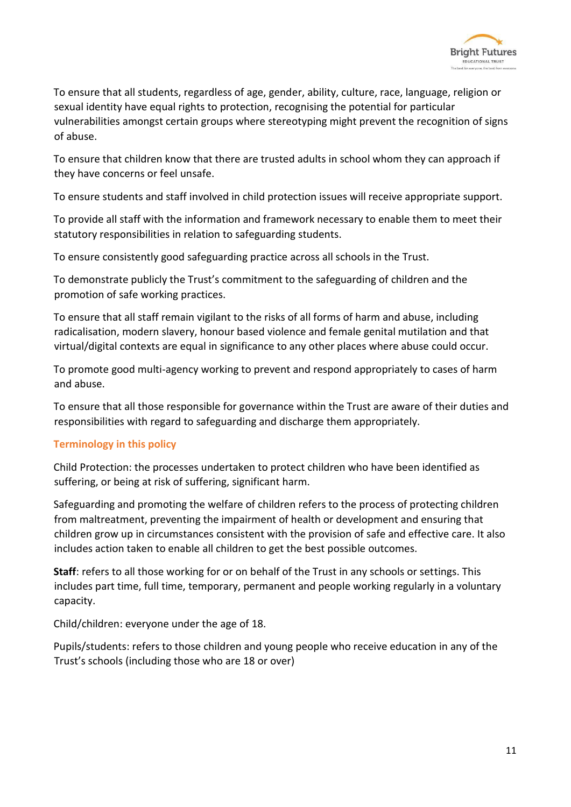

To ensure that all students, regardless of age, gender, ability, culture, race, language, religion or sexual identity have equal rights to protection, recognising the potential for particular vulnerabilities amongst certain groups where stereotyping might prevent the recognition of signs of abuse.

To ensure that children know that there are trusted adults in school whom they can approach if they have concerns or feel unsafe.

To ensure students and staff involved in child protection issues will receive appropriate support.

To provide all staff with the information and framework necessary to enable them to meet their statutory responsibilities in relation to safeguarding students.

To ensure consistently good safeguarding practice across all schools in the Trust.

To demonstrate publicly the Trust's commitment to the safeguarding of children and the promotion of safe working practices.

To ensure that all staff remain vigilant to the risks of all forms of harm and abuse, including radicalisation, modern slavery, honour based violence and female genital mutilation and that virtual/digital contexts are equal in significance to any other places where abuse could occur.

To promote good multi-agency working to prevent and respond appropriately to cases of harm and abuse.

To ensure that all those responsible for governance within the Trust are aware of their duties and responsibilities with regard to safeguarding and discharge them appropriately.

## **Terminology in this policy**

Child Protection: the processes undertaken to protect children who have been identified as suffering, or being at risk of suffering, significant harm.

Safeguarding and promoting the welfare of children refers to the process of protecting children from maltreatment, preventing the impairment of health or development and ensuring that children grow up in circumstances consistent with the provision of safe and effective care. It also includes action taken to enable all children to get the best possible outcomes.

**Staff**: refers to all those working for or on behalf of the Trust in any schools or settings. This includes part time, full time, temporary, permanent and people working regularly in a voluntary capacity.

Child/children: everyone under the age of 18.

Pupils/students: refers to those children and young people who receive education in any of the Trust's schools (including those who are 18 or over)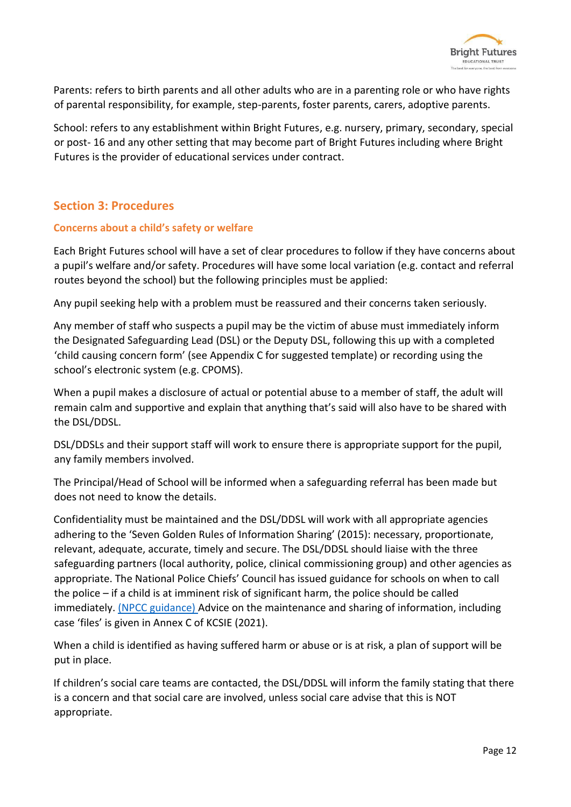

Parents: refers to birth parents and all other adults who are in a parenting role or who have rights of parental responsibility, for example, step-parents, foster parents, carers, adoptive parents.

School: refers to any establishment within Bright Futures, e.g. nursery, primary, secondary, special or post- 16 and any other setting that may become part of Bright Futures including where Bright Futures is the provider of educational services under contract.

## **Section 3: Procedures**

#### **Concerns about a child's safety or welfare**

Each Bright Futures school will have a set of clear procedures to follow if they have concerns about a pupil's welfare and/or safety. Procedures will have some local variation (e.g. contact and referral routes beyond the school) but the following principles must be applied:

Any pupil seeking help with a problem must be reassured and their concerns taken seriously.

Any member of staff who suspects a pupil may be the victim of abuse must immediately inform the Designated Safeguarding Lead (DSL) or the Deputy DSL, following this up with a completed 'child causing concern form' (see Appendix C for suggested template) or recording using the school's electronic system (e.g. CPOMS).

When a pupil makes a disclosure of actual or potential abuse to a member of staff, the adult will remain calm and supportive and explain that anything that's said will also have to be shared with the DSL/DDSL.

DSL/DDSLs and their support staff will work to ensure there is appropriate support for the pupil, any family members involved.

The Principal/Head of School will be informed when a safeguarding referral has been made but does not need to know the details.

Confidentiality must be maintained and the DSL/DDSL will work with all appropriate agencies adhering to the 'Seven Golden Rules of Information Sharing' (2015): necessary, proportionate, relevant, adequate, accurate, timely and secure. The DSL/DDSL should liaise with the three safeguarding partners (local authority, police, clinical commissioning group) and other agencies as appropriate. The National Police Chiefs' Council has issued guidance for schools on when to call the police – if a child is at imminent risk of significant harm, the police should be called immediately. [\(NPCC guidance\)](https://www.npcc.police.uk/documents/Children%20and%20Young%20people/When%20to%20call%20the%20police%20guidance%20for%20schools%20and%20colleges.pdf) [A](https://www.npcc.police.uk/documents/Children%20and%20Young%20people/When%20to%20call%20the%20police%20guidance%20for%20schools%20and%20colleges.pdf)dvice on the maintenance and sharing of information, including case 'files' is given in Annex C of KCSIE (2021).

When a child is identified as having suffered harm or abuse or is at risk, a plan of support will be put in place.

If children's social care teams are contacted, the DSL/DDSL will inform the family stating that there is a concern and that social care are involved, unless social care advise that this is NOT appropriate.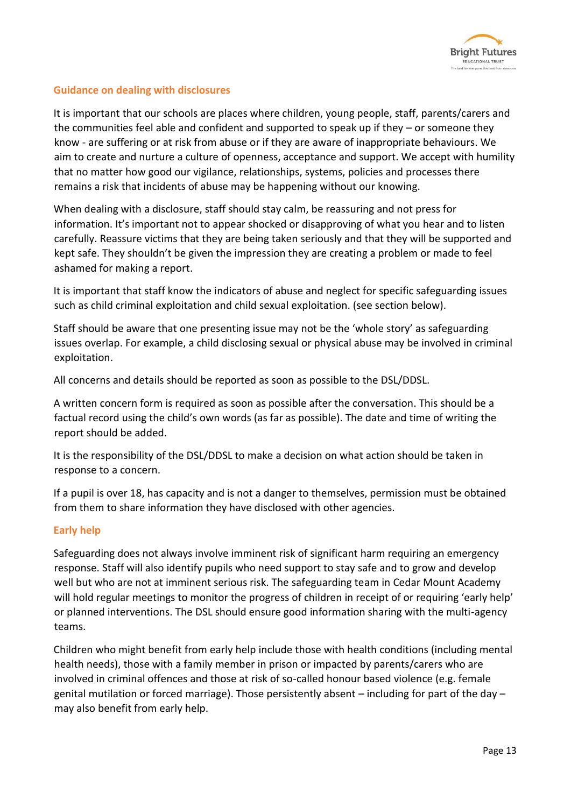

## **Guidance on dealing with disclosures**

It is important that our schools are places where children, young people, staff, parents/carers and the communities feel able and confident and supported to speak up if they – or someone they know - are suffering or at risk from abuse or if they are aware of inappropriate behaviours. We aim to create and nurture a culture of openness, acceptance and support. We accept with humility that no matter how good our vigilance, relationships, systems, policies and processes there remains a risk that incidents of abuse may be happening without our knowing.

When dealing with a disclosure, staff should stay calm, be reassuring and not press for information. It's important not to appear shocked or disapproving of what you hear and to listen carefully. Reassure victims that they are being taken seriously and that they will be supported and kept safe. They shouldn't be given the impression they are creating a problem or made to feel ashamed for making a report.

It is important that staff know the indicators of abuse and neglect for specific safeguarding issues such as child criminal exploitation and child sexual exploitation. (see section below).

Staff should be aware that one presenting issue may not be the 'whole story' as safeguarding issues overlap. For example, a child disclosing sexual or physical abuse may be involved in criminal exploitation.

All concerns and details should be reported as soon as possible to the DSL/DDSL.

A written concern form is required as soon as possible after the conversation. This should be a factual record using the child's own words (as far as possible). The date and time of writing the report should be added.

It is the responsibility of the DSL/DDSL to make a decision on what action should be taken in response to a concern.

If a pupil is over 18, has capacity and is not a danger to themselves, permission must be obtained from them to share information they have disclosed with other agencies.

## **Early help**

Safeguarding does not always involve imminent risk of significant harm requiring an emergency response. Staff will also identify pupils who need support to stay safe and to grow and develop well but who are not at imminent serious risk. The safeguarding team in Cedar Mount Academy will hold regular meetings to monitor the progress of children in receipt of or requiring 'early help' or planned interventions. The DSL should ensure good information sharing with the multi-agency teams.

Children who might benefit from early help include those with health conditions (including mental health needs), those with a family member in prison or impacted by parents/carers who are involved in criminal offences and those at risk of so-called honour based violence (e.g. female genital mutilation or forced marriage). Those persistently absent – including for part of the day – may also benefit from early help.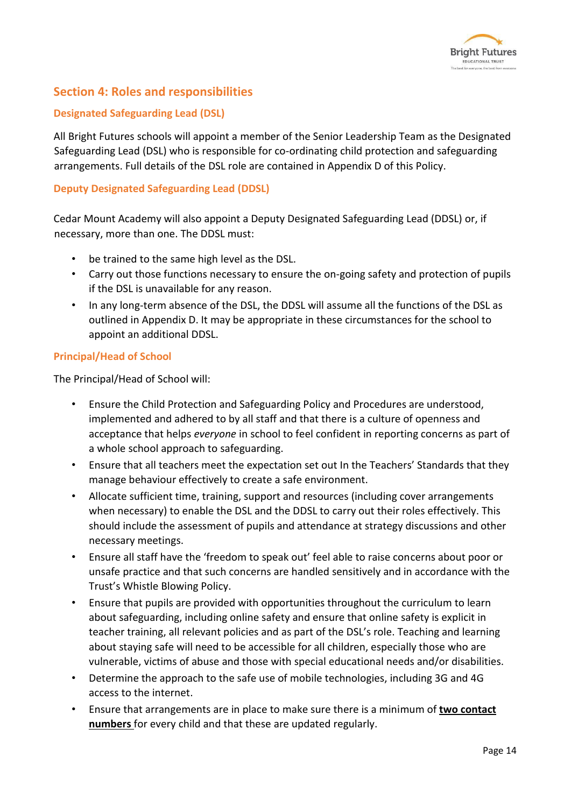

# **Section 4: Roles and responsibilities**

## **Designated Safeguarding Lead (DSL)**

All Bright Futures schools will appoint a member of the Senior Leadership Team as the Designated Safeguarding Lead (DSL) who is responsible for co-ordinating child protection and safeguarding arrangements. Full details of the DSL role are contained in Appendix D of this Policy.

## **Deputy Designated Safeguarding Lead (DDSL)**

Cedar Mount Academy will also appoint a Deputy Designated Safeguarding Lead (DDSL) or, if necessary, more than one. The DDSL must:

- be trained to the same high level as the DSL.
- Carry out those functions necessary to ensure the on-going safety and protection of pupils if the DSL is unavailable for any reason.
- In any long-term absence of the DSL, the DDSL will assume all the functions of the DSL as outlined in Appendix D. It may be appropriate in these circumstances for the school to appoint an additional DDSL.

## **Principal/Head of School**

The Principal/Head of School will:

- Ensure the Child Protection and Safeguarding Policy and Procedures are understood, implemented and adhered to by all staff and that there is a culture of openness and acceptance that helps *everyone* in school to feel confident in reporting concerns as part of a whole school approach to safeguarding.
- Ensure that all teachers meet the expectation set out In the Teachers' Standards that they manage behaviour effectively to create a safe environment.
- Allocate sufficient time, training, support and resources (including cover arrangements when necessary) to enable the DSL and the DDSL to carry out their roles effectively. This should include the assessment of pupils and attendance at strategy discussions and other necessary meetings.
- Ensure all staff have the 'freedom to speak out' feel able to raise concerns about poor or unsafe practice and that such concerns are handled sensitively and in accordance with the Trust's Whistle Blowing Policy.
- Ensure that pupils are provided with opportunities throughout the curriculum to learn about safeguarding, including online safety and ensure that online safety is explicit in teacher training, all relevant policies and as part of the DSL's role. Teaching and learning about staying safe will need to be accessible for all children, especially those who are vulnerable, victims of abuse and those with special educational needs and/or disabilities.
- Determine the approach to the safe use of mobile technologies, including 3G and 4G access to the internet.
- Ensure that arrangements are in place to make sure there is a minimum of **two contact numbers** for every child and that these are updated regularly.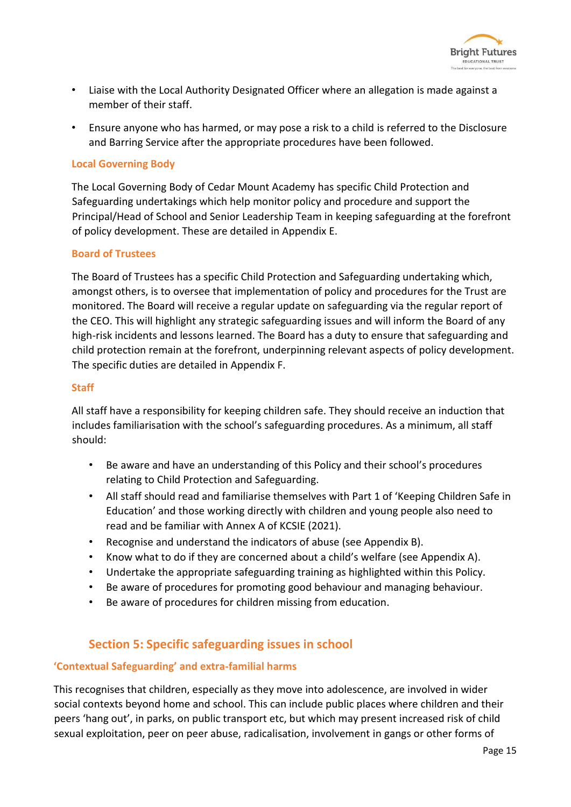

- Liaise with the Local Authority Designated Officer where an allegation is made against a member of their staff.
- Ensure anyone who has harmed, or may pose a risk to a child is referred to the Disclosure and Barring Service after the appropriate procedures have been followed.

## **Local Governing Body**

The Local Governing Body of Cedar Mount Academy has specific Child Protection and Safeguarding undertakings which help monitor policy and procedure and support the Principal/Head of School and Senior Leadership Team in keeping safeguarding at the forefront of policy development. These are detailed in Appendix E.

## **Board of Trustees**

The Board of Trustees has a specific Child Protection and Safeguarding undertaking which, amongst others, is to oversee that implementation of policy and procedures for the Trust are monitored. The Board will receive a regular update on safeguarding via the regular report of the CEO. This will highlight any strategic safeguarding issues and will inform the Board of any high-risk incidents and lessons learned. The Board has a duty to ensure that safeguarding and child protection remain at the forefront, underpinning relevant aspects of policy development. The specific duties are detailed in Appendix F.

## **Staff**

All staff have a responsibility for keeping children safe. They should receive an induction that includes familiarisation with the school's safeguarding procedures. As a minimum, all staff should:

- Be aware and have an understanding of this Policy and their school's procedures relating to Child Protection and Safeguarding.
- All staff should read and familiarise themselves with Part 1 of 'Keeping Children Safe in Education' and those working directly with children and young people also need to read and be familiar with Annex A of KCSIE (2021).
- Recognise and understand the indicators of abuse (see Appendix B).
- Know what to do if they are concerned about a child's welfare (see Appendix A).
- Undertake the appropriate safeguarding training as highlighted within this Policy.
- Be aware of procedures for promoting good behaviour and managing behaviour.
- Be aware of procedures for children missing from education.

# **Section 5: Specific safeguarding issues in school**

## **'Contextual Safeguarding' and extra-familial harms**

This recognises that children, especially as they move into adolescence, are involved in wider social contexts beyond home and school. This can include public places where children and their peers 'hang out', in parks, on public transport etc, but which may present increased risk of child sexual exploitation, peer on peer abuse, radicalisation, involvement in gangs or other forms of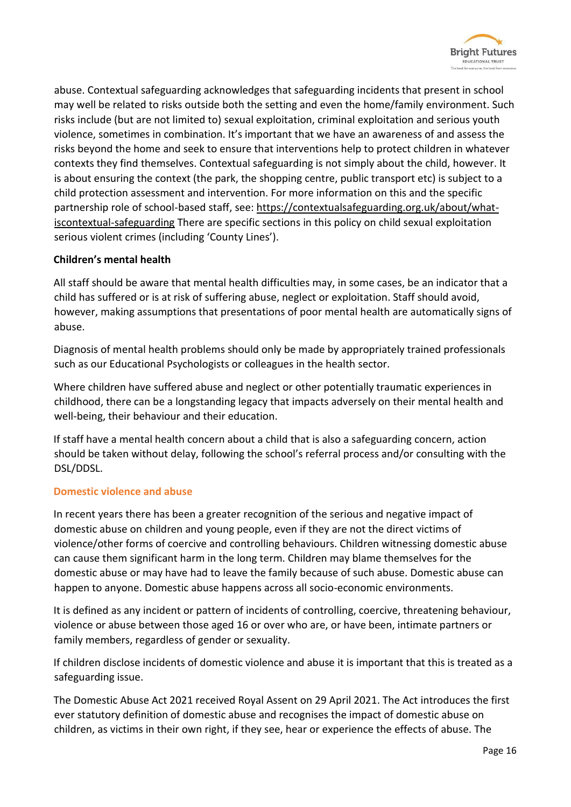

abuse. Contextual safeguarding acknowledges that safeguarding incidents that present in school may well be related to risks outside both the setting and even the home/family environment. Such risks include (but are not limited to) sexual exploitation, criminal exploitation and serious youth violence, sometimes in combination. It's important that we have an awareness of and assess the risks beyond the home and seek to ensure that interventions help to protect children in whatever contexts they find themselves. Contextual safeguarding is not simply about the child, however. It is about ensuring the context (the park, the shopping centre, public transport etc) is subject to a child protection assessment and intervention. For more information on this and the specific partnership role of school-based staff, see: [https://contextualsafeguarding.org.uk/about/what](https://contextualsafeguarding.org.uk/about/what-is-contextual-safeguarding)[iscontextual-safeguarding](https://contextualsafeguarding.org.uk/about/what-is-contextual-safeguarding) There are specific sections in this policy on child sexual exploitation serious violent crimes (including 'County Lines').

## **Children's mental health**

All staff should be aware that mental health difficulties may, in some cases, be an indicator that a child has suffered or is at risk of suffering abuse, neglect or exploitation. Staff should avoid, however, making assumptions that presentations of poor mental health are automatically signs of abuse.

Diagnosis of mental health problems should only be made by appropriately trained professionals such as our Educational Psychologists or colleagues in the health sector.

Where children have suffered abuse and neglect or other potentially traumatic experiences in childhood, there can be a longstanding legacy that impacts adversely on their mental health and well-being, their behaviour and their education.

If staff have a mental health concern about a child that is also a safeguarding concern, action should be taken without delay, following the school's referral process and/or consulting with the DSL/DDSL.

## **Domestic violence and abuse**

In recent years there has been a greater recognition of the serious and negative impact of domestic abuse on children and young people, even if they are not the direct victims of violence/other forms of coercive and controlling behaviours. Children witnessing domestic abuse can cause them significant harm in the long term. Children may blame themselves for the domestic abuse or may have had to leave the family because of such abuse. Domestic abuse can happen to anyone. Domestic abuse happens across all socio-economic environments.

It is defined as any incident or pattern of incidents of controlling, coercive, threatening behaviour, violence or abuse between those aged 16 or over who are, or have been, intimate partners or family members, regardless of gender or sexuality.

If children disclose incidents of domestic violence and abuse it is important that this is treated as a safeguarding issue.

The Domestic Abuse Act 2021 received Royal Assent on 29 April 2021. The Act introduces the first ever statutory definition of domestic abuse and recognises the impact of domestic abuse on children, as victims in their own right, if they see, hear or experience the effects of abuse. The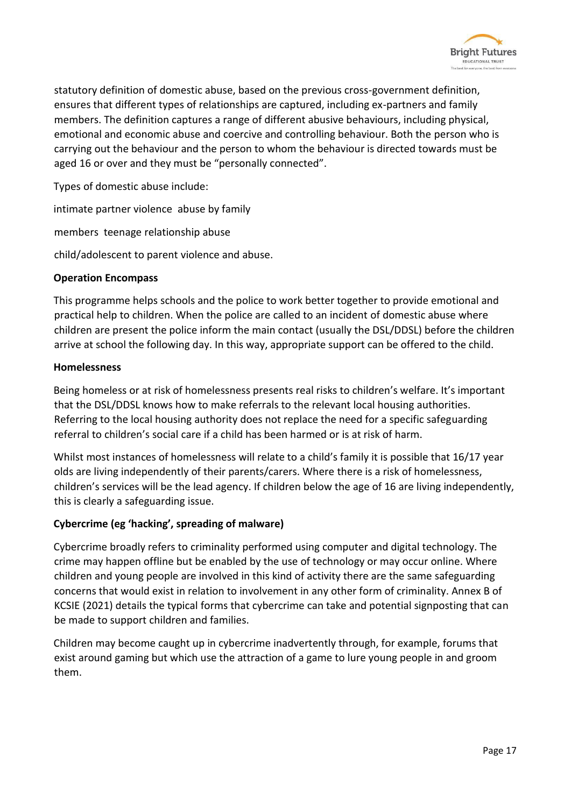

statutory definition of domestic abuse, based on the previous cross-government definition, ensures that different types of relationships are captured, including ex-partners and family members. The definition captures a range of different abusive behaviours, including physical, emotional and economic abuse and coercive and controlling behaviour. Both the person who is carrying out the behaviour and the person to whom the behaviour is directed towards must be aged 16 or over and they must be "personally connected".

Types of domestic abuse include:

intimate partner violence abuse by family

members teenage relationship abuse

child/adolescent to parent violence and abuse.

## **Operation Encompass**

This programme helps schools and the police to work better together to provide emotional and practical help to children. When the police are called to an incident of domestic abuse where children are present the police inform the main contact (usually the DSL/DDSL) before the children arrive at school the following day. In this way, appropriate support can be offered to the child.

## **Homelessness**

Being homeless or at risk of homelessness presents real risks to children's welfare. It's important that the DSL/DDSL knows how to make referrals to the relevant local housing authorities. Referring to the local housing authority does not replace the need for a specific safeguarding referral to children's social care if a child has been harmed or is at risk of harm.

Whilst most instances of homelessness will relate to a child's family it is possible that 16/17 year olds are living independently of their parents/carers. Where there is a risk of homelessness, children's services will be the lead agency. If children below the age of 16 are living independently, this is clearly a safeguarding issue.

## **Cybercrime (eg 'hacking', spreading of malware)**

Cybercrime broadly refers to criminality performed using computer and digital technology. The crime may happen offline but be enabled by the use of technology or may occur online. Where children and young people are involved in this kind of activity there are the same safeguarding concerns that would exist in relation to involvement in any other form of criminality. Annex B of KCSIE (2021) details the typical forms that cybercrime can take and potential signposting that can be made to support children and families.

Children may become caught up in cybercrime inadvertently through, for example, forums that exist around gaming but which use the attraction of a game to lure young people in and groom them.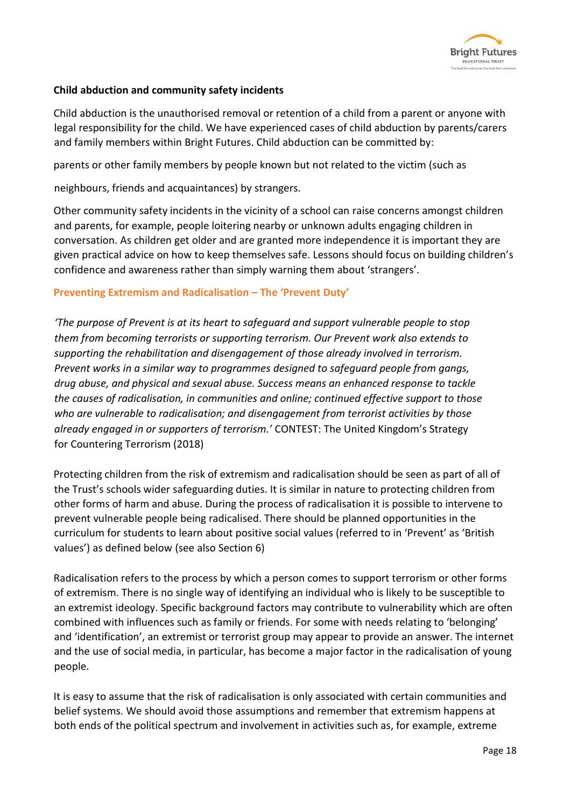

## **Child abduction and community safety incidents**

Child abduction is the unauthorised removal or retention of a child from a parent or anyone with legal responsibility for the child. We have experienced cases of child abduction by parents/carers and family members within Bright Futures. Child abduction can be committed by:

parents or other family members by people known but not related to the victim (such as

neighbours, friends and acquaintances) by strangers.

Other community safety incidents in the vicinity of a school can raise concerns amongst children and parents, for example, people loitering nearby or unknown adults engaging children in conversation. As children get older and are granted more independence it is important they are given practical advice on how to keep themselves safe. Lessons should focus on building children's confidence and awareness rather than simply warning them about 'strangers'.

## **Preventing Extremism and Radicalisation – The 'Prevent Duty'**

*'The purpose of Prevent is at its heart to safeguard and support vulnerable people to stop them from becoming terrorists or supporting terrorism. Our Prevent work also extends to supporting the rehabilitation and disengagement of those already involved in terrorism. Prevent works in a similar way to programmes designed to safeguard people from gangs, drug abuse, and physical and sexual abuse. Success means an enhanced response to tackle the causes of radicalisation, in communities and online; continued effective support to those who are vulnerable to radicalisation; and disengagement from terrorist activities by those already engaged in or supporters of terrorism.'* CONTEST: The United Kingdom's Strategy for Countering Terrorism (2018)

Protecting children from the risk of extremism and radicalisation should be seen as part of all of the Trust's schools wider safeguarding duties. It is similar in nature to protecting children from other forms of harm and abuse. During the process of radicalisation it is possible to intervene to prevent vulnerable people being radicalised. There should be planned opportunities in the curriculum for students to learn about positive social values (referred to in 'Prevent' as 'British values') as defined below (see also Section 6)

Radicalisation refers to the process by which a person comes to support terrorism or other forms of extremism. There is no single way of identifying an individual who is likely to be susceptible to an extremist ideology. Specific background factors may contribute to vulnerability which are often combined with influences such as family or friends. For some with needs relating to 'belonging' and 'identification', an extremist or terrorist group may appear to provide an answer. The internet and the use of social media, in particular, has become a major factor in the radicalisation of young people.

It is easy to assume that the risk of radicalisation is only associated with certain communities and belief systems. We should avoid those assumptions and remember that extremism happens at both ends of the political spectrum and involvement in activities such as, for example, extreme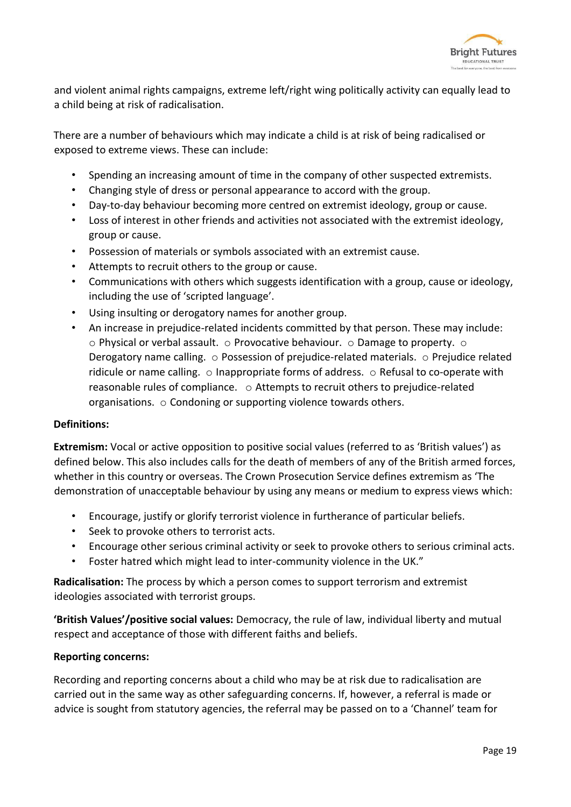

and violent animal rights campaigns, extreme left/right wing politically activity can equally lead to a child being at risk of radicalisation.

There are a number of behaviours which may indicate a child is at risk of being radicalised or exposed to extreme views. These can include:

- Spending an increasing amount of time in the company of other suspected extremists.
- Changing style of dress or personal appearance to accord with the group.
- Day-to-day behaviour becoming more centred on extremist ideology, group or cause.
- Loss of interest in other friends and activities not associated with the extremist ideology, group or cause.
- Possession of materials or symbols associated with an extremist cause.
- Attempts to recruit others to the group or cause.
- Communications with others which suggests identification with a group, cause or ideology, including the use of 'scripted language'.
- Using insulting or derogatory names for another group.
- An increase in prejudice-related incidents committed by that person. These may include:  $\circ$  Physical or verbal assault.  $\circ$  Provocative behaviour.  $\circ$  Damage to property.  $\circ$ Derogatory name calling.  $\circ$  Possession of prejudice-related materials.  $\circ$  Prejudice related ridicule or name calling.  $\circ$  Inappropriate forms of address.  $\circ$  Refusal to co-operate with reasonable rules of compliance.  $\circ$  Attempts to recruit others to prejudice-related organisations. o Condoning or supporting violence towards others.

#### **Definitions:**

**Extremism:** Vocal or active opposition to positive social values (referred to as 'British values') as defined below. This also includes calls for the death of members of any of the British armed forces, whether in this country or overseas. The Crown Prosecution Service defines extremism as 'The demonstration of unacceptable behaviour by using any means or medium to express views which:

- Encourage, justify or glorify terrorist violence in furtherance of particular beliefs.
- Seek to provoke others to terrorist acts.
- Encourage other serious criminal activity or seek to provoke others to serious criminal acts.
- Foster hatred which might lead to inter-community violence in the UK."

**Radicalisation:** The process by which a person comes to support terrorism and extremist ideologies associated with terrorist groups.

**'British Values'/positive social values:** Democracy, the rule of law, individual liberty and mutual respect and acceptance of those with different faiths and beliefs.

## **Reporting concerns:**

Recording and reporting concerns about a child who may be at risk due to radicalisation are carried out in the same way as other safeguarding concerns. If, however, a referral is made or advice is sought from statutory agencies, the referral may be passed on to a 'Channel' team for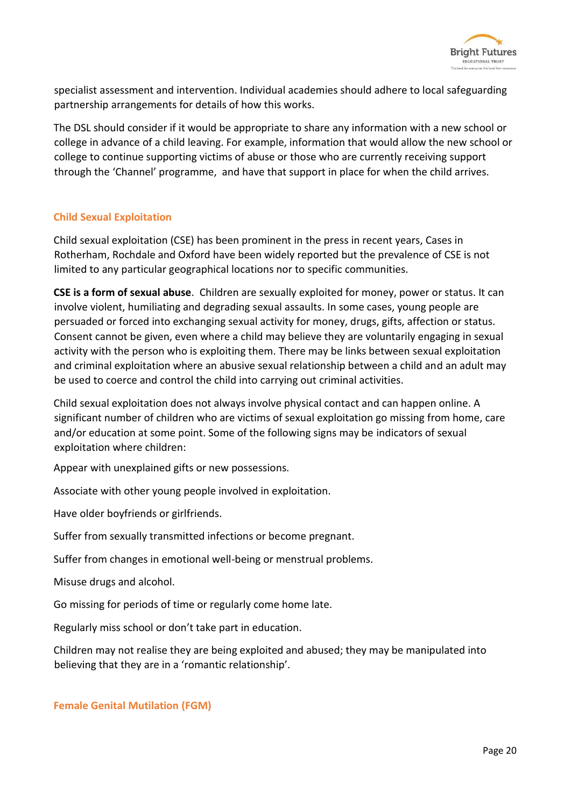

specialist assessment and intervention. Individual academies should adhere to local safeguarding partnership arrangements for details of how this works.

The DSL should consider if it would be appropriate to share any information with a new school or college in advance of a child leaving. For example, information that would allow the new school or college to continue supporting victims of abuse or those who are currently receiving support through the 'Channel' programme, and have that support in place for when the child arrives.

#### **Child Sexual Exploitation**

Child sexual exploitation (CSE) has been prominent in the press in recent years, Cases in Rotherham, Rochdale and Oxford have been widely reported but the prevalence of CSE is not limited to any particular geographical locations nor to specific communities.

**CSE is a form of sexual abuse**. Children are sexually exploited for money, power or status. It can involve violent, humiliating and degrading sexual assaults. In some cases, young people are persuaded or forced into exchanging sexual activity for money, drugs, gifts, affection or status. Consent cannot be given, even where a child may believe they are voluntarily engaging in sexual activity with the person who is exploiting them. There may be links between sexual exploitation and criminal exploitation where an abusive sexual relationship between a child and an adult may be used to coerce and control the child into carrying out criminal activities.

Child sexual exploitation does not always involve physical contact and can happen online. A significant number of children who are victims of sexual exploitation go missing from home, care and/or education at some point. Some of the following signs may be indicators of sexual exploitation where children:

Appear with unexplained gifts or new possessions.

Associate with other young people involved in exploitation.

Have older boyfriends or girlfriends.

Suffer from sexually transmitted infections or become pregnant.

Suffer from changes in emotional well-being or menstrual problems.

Misuse drugs and alcohol.

Go missing for periods of time or regularly come home late.

Regularly miss school or don't take part in education.

Children may not realise they are being exploited and abused; they may be manipulated into believing that they are in a 'romantic relationship'.

**Female Genital Mutilation (FGM)**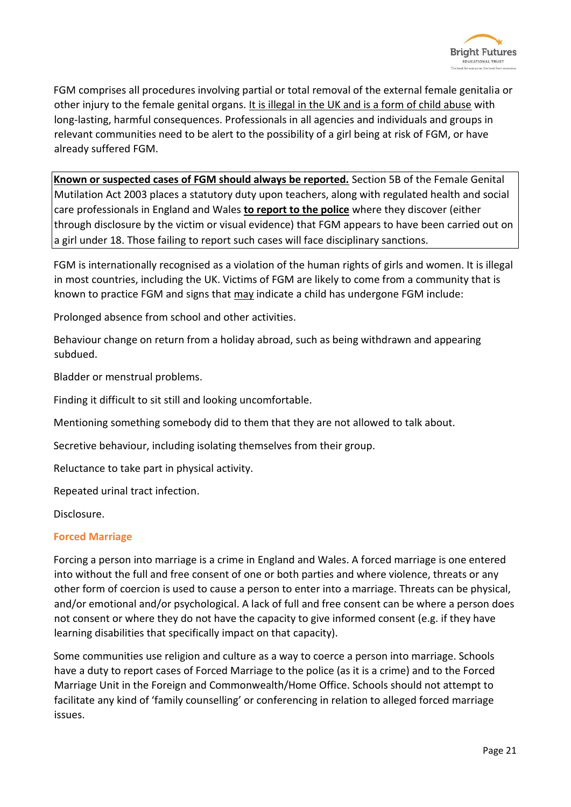

FGM comprises all procedures involving partial or total removal of the external female genitalia or other injury to the female genital organs. It is illegal in the UK and is a form of child abuse with long-lasting, harmful consequences. Professionals in all agencies and individuals and groups in relevant communities need to be alert to the possibility of a girl being at risk of FGM, or have already suffered FGM.

**Known or suspected cases of FGM should always be reported.** Section 5B of the Female Genital Mutilation Act 2003 places a statutory duty upon teachers, along with regulated health and social care professionals in England and Wales **to report to the police** where they discover (either through disclosure by the victim or visual evidence) that FGM appears to have been carried out on a girl under 18. Those failing to report such cases will face disciplinary sanctions.

FGM is internationally recognised as a violation of the human rights of girls and women. It is illegal in most countries, including the UK. Victims of FGM are likely to come from a community that is known to practice FGM and signs that may indicate a child has undergone FGM include:

Prolonged absence from school and other activities.

Behaviour change on return from a holiday abroad, such as being withdrawn and appearing subdued.

Bladder or menstrual problems.

Finding it difficult to sit still and looking uncomfortable.

Mentioning something somebody did to them that they are not allowed to talk about.

Secretive behaviour, including isolating themselves from their group.

Reluctance to take part in physical activity.

Repeated urinal tract infection.

Disclosure.

## **Forced Marriage**

Forcing a person into marriage is a crime in England and Wales. A forced marriage is one entered into without the full and free consent of one or both parties and where violence, threats or any other form of coercion is used to cause a person to enter into a marriage. Threats can be physical, and/or emotional and/or psychological. A lack of full and free consent can be where a person does not consent or where they do not have the capacity to give informed consent (e.g. if they have learning disabilities that specifically impact on that capacity).

Some communities use religion and culture as a way to coerce a person into marriage. Schools have a duty to report cases of Forced Marriage to the police (as it is a crime) and to the Forced Marriage Unit in the Foreign and Commonwealth/Home Office. Schools should not attempt to facilitate any kind of 'family counselling' or conferencing in relation to alleged forced marriage issues.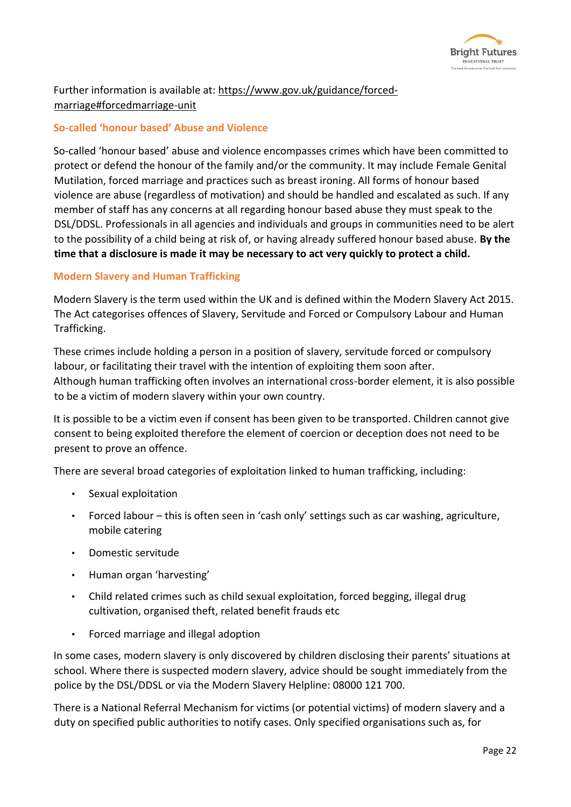

# Further information is available at: [https://www.gov.uk/guidance/forced](https://www.gov.uk/guidance/forced-marriage%23forced-marriage-unit)[marriage#forcedmarriage-unit](https://www.gov.uk/guidance/forced-marriage%23forced-marriage-unit)

## **So-called 'honour based' Abuse and Violence**

So-called 'honour based' abuse and violence encompasses crimes which have been committed to protect or defend the honour of the family and/or the community. It may include Female Genital Mutilation, forced marriage and practices such as breast ironing. All forms of honour based violence are abuse (regardless of motivation) and should be handled and escalated as such. If any member of staff has any concerns at all regarding honour based abuse they must speak to the DSL/DDSL. Professionals in all agencies and individuals and groups in communities need to be alert to the possibility of a child being at risk of, or having already suffered honour based abuse. **By the time that a disclosure is made it may be necessary to act very quickly to protect a child.**

## **Modern Slavery and Human Trafficking**

Modern Slavery is the term used within the UK and is defined within the Modern Slavery Act 2015. The Act categorises offences of Slavery, Servitude and Forced or Compulsory Labour and Human Trafficking.

These crimes include holding a person in a position of slavery, servitude forced or compulsory labour, or facilitating their travel with the intention of exploiting them soon after. Although human trafficking often involves an international cross-border element, it is also possible to be a victim of modern slavery within your own country.

It is possible to be a victim even if consent has been given to be transported. Children cannot give consent to being exploited therefore the element of coercion or deception does not need to be present to prove an offence.

There are several broad categories of exploitation linked to human trafficking, including:

- Sexual exploitation
- Forced labour this is often seen in 'cash only' settings such as car washing, agriculture, mobile catering
- Domestic servitude
- Human organ 'harvesting'
- Child related crimes such as child sexual exploitation, forced begging, illegal drug cultivation, organised theft, related benefit frauds etc
- Forced marriage and illegal adoption

In some cases, modern slavery is only discovered by children disclosing their parents' situations at school. Where there is suspected modern slavery, advice should be sought immediately from the police by the DSL/DDSL or via the Modern Slavery Helpline: 08000 121 700.

There is a National Referral Mechanism for victims (or potential victims) of modern slavery and a duty on specified public authorities to notify cases. Only specified organisations such as, for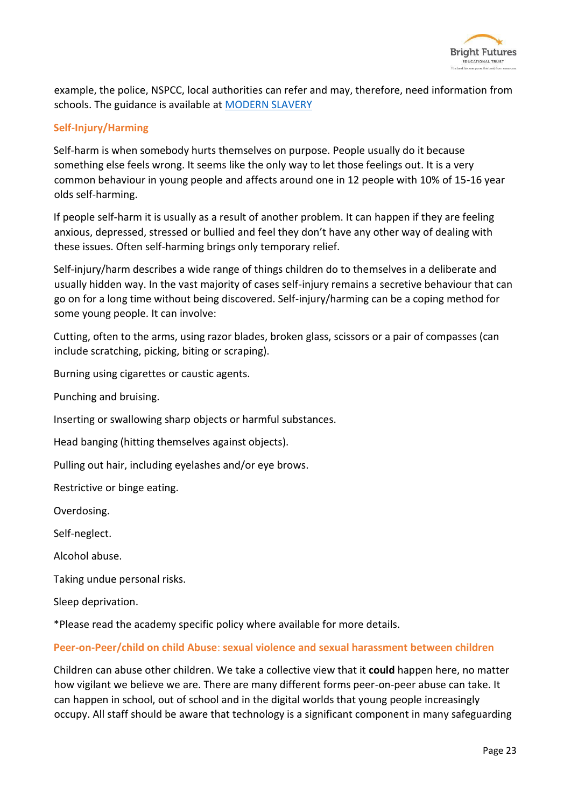

example, the police, NSPCC, local authorities can refer and may, therefore, need information from schools. The guidance is available at [MODERN SLAVERY](https://www.gov.uk/government/publications/human-trafficking-victims-referral-and-assessment-forms/guidance-on-the-national-referral-mechanism-for-potential-adult-victims-of-modern-slavery-england-and-wales)

## **Self-Injury/Harming**

Self-harm is when somebody hurts themselves on purpose. People usually do it because something else feels wrong. It seems like the only way to let those feelings out. It is a very common behaviour in young people and affects around one in 12 people with 10% of 15-16 year olds self-harming.

If people self-harm it is usually as a result of another problem. It can happen if they are feeling anxious, depressed, stressed or bullied and feel they don't have any other way of dealing with these issues. Often self-harming brings only temporary relief.

Self-injury/harm describes a wide range of things children do to themselves in a deliberate and usually hidden way. In the vast majority of cases self-injury remains a secretive behaviour that can go on for a long time without being discovered. Self-injury/harming can be a coping method for some young people. It can involve:

Cutting, often to the arms, using razor blades, broken glass, scissors or a pair of compasses (can include scratching, picking, biting or scraping).

Burning using cigarettes or caustic agents.

Punching and bruising.

Inserting or swallowing sharp objects or harmful substances.

Head banging (hitting themselves against objects).

Pulling out hair, including eyelashes and/or eye brows.

Restrictive or binge eating.

Overdosing.

Self-neglect.

Alcohol abuse.

Taking undue personal risks.

Sleep deprivation.

\*Please read the academy specific policy where available for more details.

#### **Peer-on-Peer/child on child Abuse**: **sexual violence and sexual harassment between children**

Children can abuse other children. We take a collective view that it **could** happen here, no matter how vigilant we believe we are. There are many different forms peer-on-peer abuse can take. It can happen in school, out of school and in the digital worlds that young people increasingly occupy. All staff should be aware that technology is a significant component in many safeguarding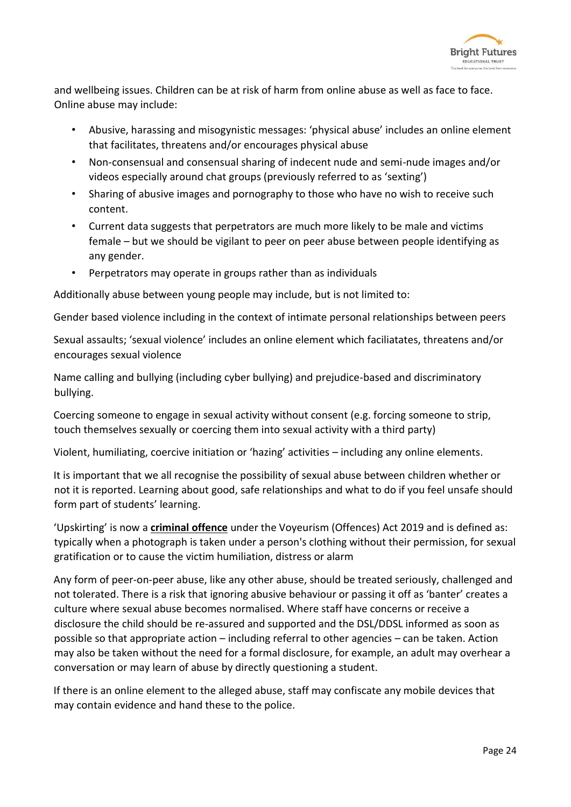

and wellbeing issues. Children can be at risk of harm from online abuse as well as face to face. Online abuse may include:

- Abusive, harassing and misogynistic messages: 'physical abuse' includes an online element that facilitates, threatens and/or encourages physical abuse
- Non-consensual and consensual sharing of indecent nude and semi-nude images and/or videos especially around chat groups (previously referred to as 'sexting')
- Sharing of abusive images and pornography to those who have no wish to receive such content.
- Current data suggests that perpetrators are much more likely to be male and victims female – but we should be vigilant to peer on peer abuse between people identifying as any gender.
- Perpetrators may operate in groups rather than as individuals

Additionally abuse between young people may include, but is not limited to:

Gender based violence including in the context of intimate personal relationships between peers

Sexual assaults; 'sexual violence' includes an online element which faciliatates, threatens and/or encourages sexual violence

Name calling and bullying (including cyber bullying) and prejudice-based and discriminatory bullying.

Coercing someone to engage in sexual activity without consent (e.g. forcing someone to strip, touch themselves sexually or coercing them into sexual activity with a third party)

Violent, humiliating, coercive initiation or 'hazing' activities – including any online elements.

It is important that we all recognise the possibility of sexual abuse between children whether or not it is reported. Learning about good, safe relationships and what to do if you feel unsafe should form part of students' learning.

'Upskirting' is now a **criminal offence** under the Voyeurism (Offences) Act 2019 and is defined as: typically when a photograph is taken under a person's clothing without their permission, for sexual gratification or to cause the victim humiliation, distress or alarm

Any form of peer-on-peer abuse, like any other abuse, should be treated seriously, challenged and not tolerated. There is a risk that ignoring abusive behaviour or passing it off as 'banter' creates a culture where sexual abuse becomes normalised. Where staff have concerns or receive a disclosure the child should be re-assured and supported and the DSL/DDSL informed as soon as possible so that appropriate action – including referral to other agencies – can be taken. Action may also be taken without the need for a formal disclosure, for example, an adult may overhear a conversation or may learn of abuse by directly questioning a student.

If there is an online element to the alleged abuse, staff may confiscate any mobile devices that may contain evidence and hand these to the police.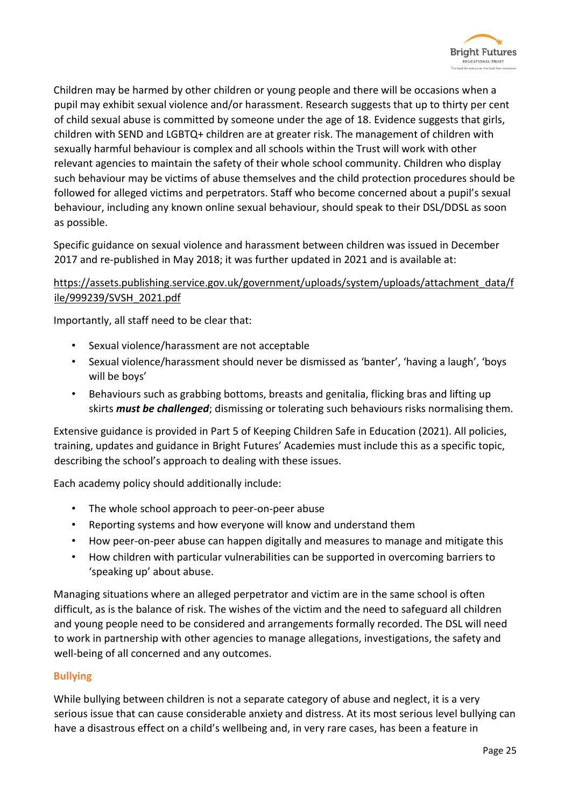

Children may be harmed by other children or young people and there will be occasions when a pupil may exhibit sexual violence and/or harassment. Research suggests that up to thirty per cent of child sexual abuse is committed by someone under the age of 18. Evidence suggests that girls, children with SEND and LGBTQ+ children are at greater risk. The management of children with sexually harmful behaviour is complex and all schools within the Trust will work with other relevant agencies to maintain the safety of their whole school community. Children who display such behaviour may be victims of abuse themselves and the child protection procedures should be followed for alleged victims and perpetrators. Staff who become concerned about a pupil's sexual behaviour, including any known online sexual behaviour, should speak to their DSL/DDSL as soon as possible.

Specific guidance on sexual violence and harassment between children was issued in December 2017 and re-published in May 2018; it was further updated in 2021 and is available at:

## [https://assets.publishing.service.gov.uk/government/uploads/system/uploads/attachment\\_data/f](https://assets.publishing.service.gov.uk/government/uploads/system/uploads/attachment_data/file/999239/SVSH_2021.pdf)  [ile/999239/SVSH\\_2021.pdf](https://assets.publishing.service.gov.uk/government/uploads/system/uploads/attachment_data/file/999239/SVSH_2021.pdf)

Importantly, all staff need to be clear that:

- Sexual violence/harassment are not acceptable
- Sexual violence/harassment should never be dismissed as 'banter', 'having a laugh', 'boys will be boys'
- Behaviours such as grabbing bottoms, breasts and genitalia, flicking bras and lifting up skirts *must be challenged*; dismissing or tolerating such behaviours risks normalising them.

Extensive guidance is provided in Part 5 of Keeping Children Safe in Education (2021). All policies, training, updates and guidance in Bright Futures' Academies must include this as a specific topic, describing the school's approach to dealing with these issues.

Each academy policy should additionally include:

- The whole school approach to peer-on-peer abuse
- Reporting systems and how everyone will know and understand them
- How peer-on-peer abuse can happen digitally and measures to manage and mitigate this
- How children with particular vulnerabilities can be supported in overcoming barriers to 'speaking up' about abuse.

Managing situations where an alleged perpetrator and victim are in the same school is often difficult, as is the balance of risk. The wishes of the victim and the need to safeguard all children and young people need to be considered and arrangements formally recorded. The DSL will need to work in partnership with other agencies to manage allegations, investigations, the safety and well-being of all concerned and any outcomes.

## **Bullying**

While bullying between children is not a separate category of abuse and neglect, it is a very serious issue that can cause considerable anxiety and distress. At its most serious level bullying can have a disastrous effect on a child's wellbeing and, in very rare cases, has been a feature in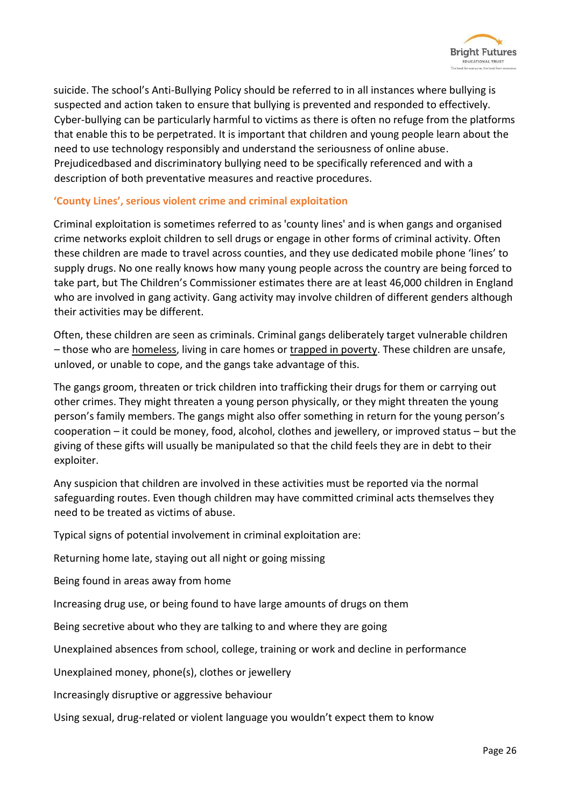

suicide. The school's Anti-Bullying Policy should be referred to in all instances where bullying is suspected and action taken to ensure that bullying is prevented and responded to effectively. Cyber-bullying can be particularly harmful to victims as there is often no refuge from the platforms that enable this to be perpetrated. It is important that children and young people learn about the need to use technology responsibly and understand the seriousness of online abuse. Prejudicedbased and discriminatory bullying need to be specifically referenced and with a description of both preventative measures and reactive procedures.

## **'County Lines', serious violent crime and criminal exploitation**

Criminal exploitation is sometimes referred to as 'county lines' and is when gangs and organised crime networks exploit children to sell drugs or engage in other forms of criminal activity. Often these children are made to travel across counties, and they use dedicated mobile phone 'lines' to supply drugs. No one really knows how many young people across the country are being forced to take part, but The Children's Commissioner estimates there are at least 46,000 children in England who are involved in gang activity. Gang activity may involve children of different genders although their activities may be different.

Often, these children are seen as criminals. Criminal gangs deliberately target vulnerable children – those who are [homeless,](https://www.childrenssociety.org.uk/what-we-do/helping-children/missing-from-home-services-0) living in care homes o[r](https://www.childrenssociety.org.uk/what-we-do/helping-children/ending-child-poverty) [trapped in poverty.](https://www.childrenssociety.org.uk/what-we-do/helping-children/ending-child-poverty) These children are unsafe, unloved, or unable to cope, and the gangs take advantage of this.

The gangs groom, threaten or trick children into trafficking their drugs for them or carrying out other crimes. They might threaten a young person physically, or they might threaten the young person's family members. The gangs might also offer something in return for the young person's cooperation – it could be money, food, alcohol, clothes and jewellery, or improved status – but the giving of these gifts will usually be manipulated so that the child feels they are in debt to their exploiter.

Any suspicion that children are involved in these activities must be reported via the normal safeguarding routes. Even though children may have committed criminal acts themselves they need to be treated as victims of abuse.

Typical signs of potential involvement in criminal exploitation are:

Returning home late, staying out all night or going missing

Being found in areas away from home

Increasing drug use, or being found to have large amounts of drugs on them

Being secretive about who they are talking to and where they are going

Unexplained absences from school, college, training or work and decline in performance

Unexplained money, phone(s), clothes or jewellery

Increasingly disruptive or aggressive behaviour

Using sexual, drug-related or violent language you wouldn't expect them to know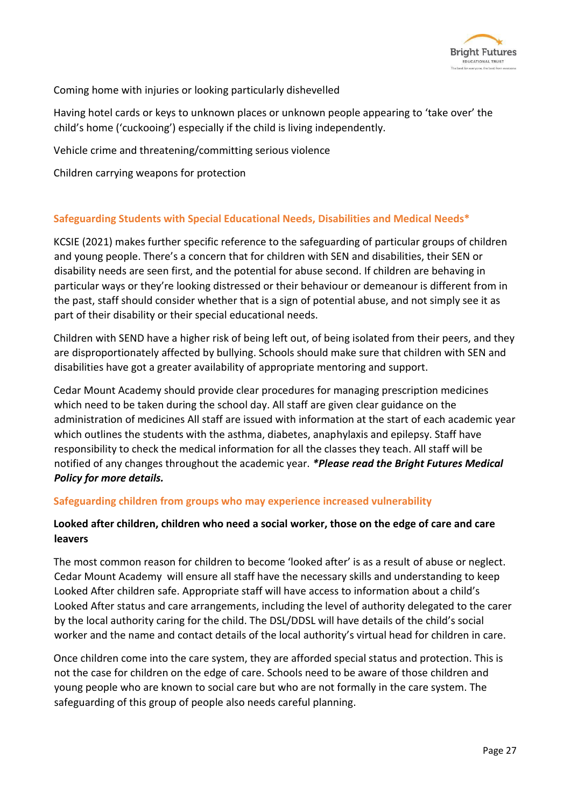

Coming home with injuries or looking particularly dishevelled

Having hotel cards or keys to unknown places or unknown people appearing to 'take over' the child's home ('cuckooing') especially if the child is living independently.

Vehicle crime and threatening/committing serious violence

Children carrying weapons for protection

## **Safeguarding Students with Special Educational Needs, Disabilities and Medical Needs\***

KCSIE (2021) makes further specific reference to the safeguarding of particular groups of children and young people. There's a concern that for children with SEN and disabilities, their SEN or disability needs are seen first, and the potential for abuse second. If children are behaving in particular ways or they're looking distressed or their behaviour or demeanour is different from in the past, staff should consider whether that is a sign of potential abuse, and not simply see it as part of their disability or their special educational needs.

Children with SEND have a higher risk of being left out, of being isolated from their peers, and they are disproportionately affected by bullying. Schools should make sure that children with SEN and disabilities have got a greater availability of appropriate mentoring and support.

Cedar Mount Academy should provide clear procedures for managing prescription medicines which need to be taken during the school day. All staff are given clear guidance on the administration of medicines All staff are issued with information at the start of each academic year which outlines the students with the asthma, diabetes, anaphylaxis and epilepsy. Staff have responsibility to check the medical information for all the classes they teach. All staff will be notified of any changes throughout the academic year. *\*Please read the Bright Futures Medical Policy for more details.* 

## **Safeguarding children from groups who may experience increased vulnerability**

## **Looked after children, children who need a social worker, those on the edge of care and care leavers**

The most common reason for children to become 'looked after' is as a result of abuse or neglect. Cedar Mount Academy will ensure all staff have the necessary skills and understanding to keep Looked After children safe. Appropriate staff will have access to information about a child's Looked After status and care arrangements, including the level of authority delegated to the carer by the local authority caring for the child. The DSL/DDSL will have details of the child's social worker and the name and contact details of the local authority's virtual head for children in care.

Once children come into the care system, they are afforded special status and protection. This is not the case for children on the edge of care. Schools need to be aware of those children and young people who are known to social care but who are not formally in the care system. The safeguarding of this group of people also needs careful planning.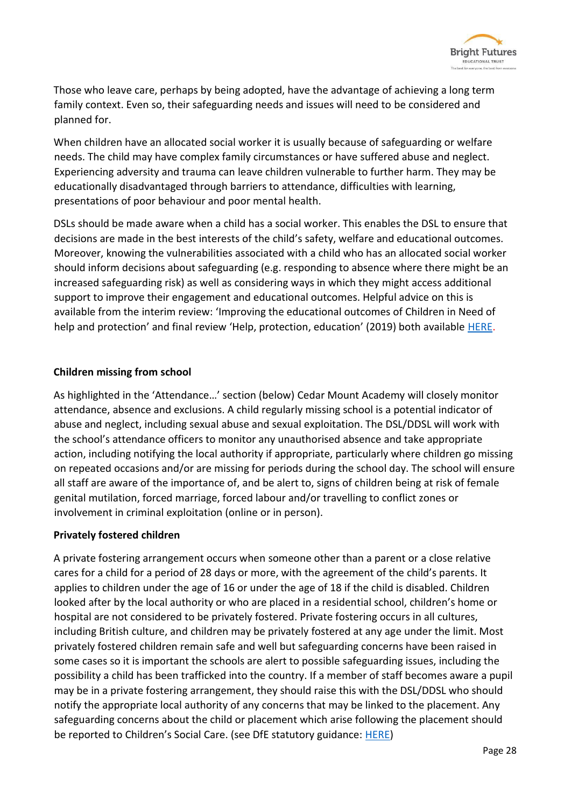

Those who leave care, perhaps by being adopted, have the advantage of achieving a long term family context. Even so, their safeguarding needs and issues will need to be considered and planned for.

When children have an allocated social worker it is usually because of safeguarding or welfare needs. The child may have complex family circumstances or have suffered abuse and neglect. Experiencing adversity and trauma can leave children vulnerable to further harm. They may be educationally disadvantaged through barriers to attendance, difficulties with learning, presentations of poor behaviour and poor mental health.

DSLs should be made aware when a child has a social worker. This enables the DSL to ensure that decisions are made in the best interests of the child's safety, welfare and educational outcomes. Moreover, knowing the vulnerabilities associated with a child who has an allocated social worker should inform decisions about safeguarding (e.g. responding to absence where there might be an increased safeguarding risk) as well as considering ways in which they might access additional support to improve their engagement and educational outcomes. Helpful advice on this is available from the interim review: 'Improving the educational outcomes of Children in Need of help and protection' and final review 'Help, protection, education' (2019) both available [HERE.](https://www.gov.uk/government/publications/review-of-children-in-need)

## **Children missing from school**

As highlighted in the 'Attendance…' section (below) Cedar Mount Academy will closely monitor attendance, absence and exclusions. A child regularly missing school is a potential indicator of abuse and neglect, including sexual abuse and sexual exploitation. The DSL/DDSL will work with the school's attendance officers to monitor any unauthorised absence and take appropriate action, including notifying the local authority if appropriate, particularly where children go missing on repeated occasions and/or are missing for periods during the school day. The school will ensure all staff are aware of the importance of, and be alert to, signs of children being at risk of female genital mutilation, forced marriage, forced labour and/or travelling to conflict zones or involvement in criminal exploitation (online or in person).

## **Privately fostered children**

A private fostering arrangement occurs when someone other than a parent or a close relative cares for a child for a period of 28 days or more, with the agreement of the child's parents. It applies to children under the age of 16 or under the age of 18 if the child is disabled. Children looked after by the local authority or who are placed in a residential school, children's home or hospital are not considered to be privately fostered. Private fostering occurs in all cultures, including British culture, and children may be privately fostered at any age under the limit. Most privately fostered children remain safe and well but safeguarding concerns have been raised in some cases so it is important the schools are alert to possible safeguarding issues, including the possibility a child has been trafficked into the country. If a member of staff becomes aware a pupil may be in a private fostering arrangement, they should raise this with the DSL/DDSL who should notify the appropriate local authority of any concerns that may be linked to the placement. Any safeguarding concerns about the child or placement which arise following the placement should be reported to Children's Social Care. (see DfE statutory guidance: [HERE\)](https://www.gov.uk/government/publications/children-act-1989-private-fostering)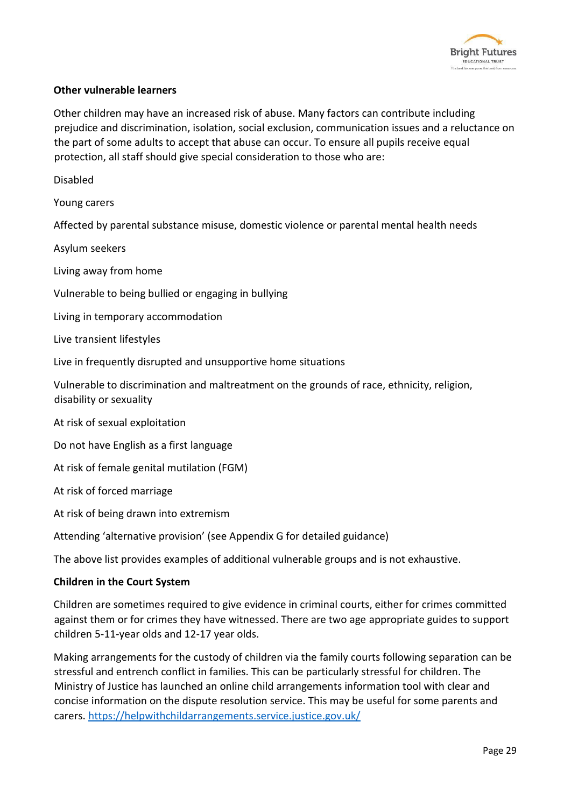

#### **Other vulnerable learners**

Other children may have an increased risk of abuse. Many factors can contribute including prejudice and discrimination, isolation, social exclusion, communication issues and a reluctance on the part of some adults to accept that abuse can occur. To ensure all pupils receive equal protection, all staff should give special consideration to those who are:

Disabled

Young carers

Affected by parental substance misuse, domestic violence or parental mental health needs

Asylum seekers

Living away from home

Vulnerable to being bullied or engaging in bullying

Living in temporary accommodation

Live transient lifestyles

Live in frequently disrupted and unsupportive home situations

Vulnerable to discrimination and maltreatment on the grounds of race, ethnicity, religion, disability or sexuality

At risk of sexual exploitation

Do not have English as a first language

At risk of female genital mutilation (FGM)

At risk of forced marriage

At risk of being drawn into extremism

Attending 'alternative provision' (see Appendix G for detailed guidance)

The above list provides examples of additional vulnerable groups and is not exhaustive.

#### **Children in the Court System**

Children are sometimes required to give evidence in criminal courts, either for crimes committed against them or for crimes they have witnessed. There are two age appropriate guides to support children 5-11-year olds and 12-17 year olds.

Making arrangements for the custody of children via the family courts following separation can be stressful and entrench conflict in families. This can be particularly stressful for children. The Ministry of Justice has launched an online child arrangements information tool with clear and concise information on the dispute resolution service. This may be useful for some parents and carers[.](https://helpwithchildarrangements.service.justice.gov.uk/) <https://helpwithchildarrangements.service.justice.gov.uk/>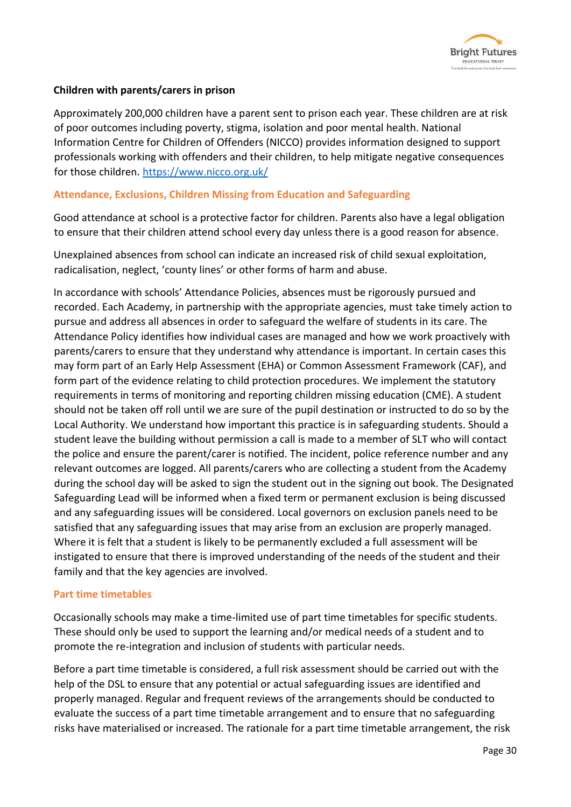

## **Children with parents/carers in prison**

Approximately 200,000 children have a parent sent to prison each year. These children are at risk of poor outcomes including poverty, stigma, isolation and poor mental health. National Information Centre for Children of Offenders (NICCO) provides information designed to support professionals working with offenders and their children, to help mitigate negative consequences for those children. <https://www.nicco.org.uk/>

## **Attendance, Exclusions, Children Missing from Education and Safeguarding**

Good attendance at school is a protective factor for children. Parents also have a legal obligation to ensure that their children attend school every day unless there is a good reason for absence.

Unexplained absences from school can indicate an increased risk of child sexual exploitation, radicalisation, neglect, 'county lines' or other forms of harm and abuse.

In accordance with schools' Attendance Policies, absences must be rigorously pursued and recorded. Each Academy, in partnership with the appropriate agencies, must take timely action to pursue and address all absences in order to safeguard the welfare of students in its care. The Attendance Policy identifies how individual cases are managed and how we work proactively with parents/carers to ensure that they understand why attendance is important. In certain cases this may form part of an Early Help Assessment (EHA) or Common Assessment Framework (CAF), and form part of the evidence relating to child protection procedures. We implement the statutory requirements in terms of monitoring and reporting children missing education (CME). A student should not be taken off roll until we are sure of the pupil destination or instructed to do so by the Local Authority. We understand how important this practice is in safeguarding students. Should a student leave the building without permission a call is made to a member of SLT who will contact the police and ensure the parent/carer is notified. The incident, police reference number and any relevant outcomes are logged. All parents/carers who are collecting a student from the Academy during the school day will be asked to sign the student out in the signing out book. The Designated Safeguarding Lead will be informed when a fixed term or permanent exclusion is being discussed and any safeguarding issues will be considered. Local governors on exclusion panels need to be satisfied that any safeguarding issues that may arise from an exclusion are properly managed. Where it is felt that a student is likely to be permanently excluded a full assessment will be instigated to ensure that there is improved understanding of the needs of the student and their family and that the key agencies are involved.

## **Part time timetables**

Occasionally schools may make a time-limited use of part time timetables for specific students. These should only be used to support the learning and/or medical needs of a student and to promote the re-integration and inclusion of students with particular needs.

Before a part time timetable is considered, a full risk assessment should be carried out with the help of the DSL to ensure that any potential or actual safeguarding issues are identified and properly managed. Regular and frequent reviews of the arrangements should be conducted to evaluate the success of a part time timetable arrangement and to ensure that no safeguarding risks have materialised or increased. The rationale for a part time timetable arrangement, the risk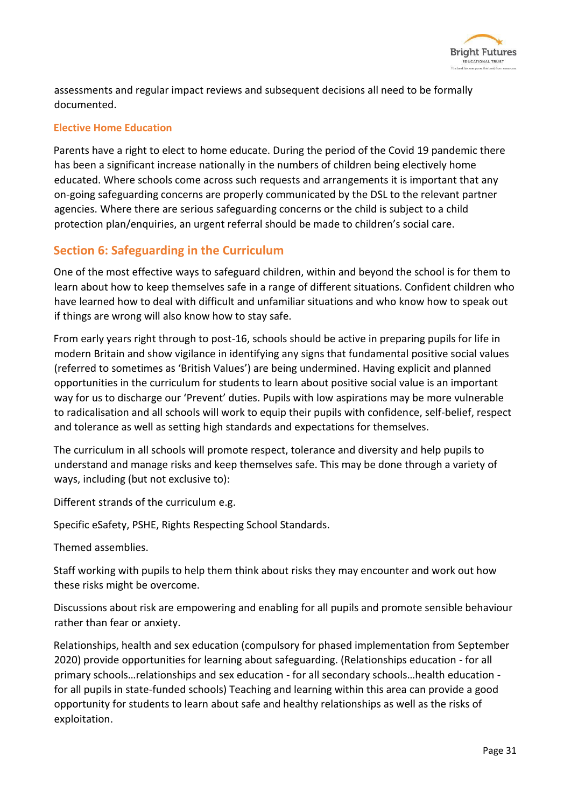

assessments and regular impact reviews and subsequent decisions all need to be formally documented.

## **Elective Home Education**

Parents have a right to elect to home educate. During the period of the Covid 19 pandemic there has been a significant increase nationally in the numbers of children being electively home educated. Where schools come across such requests and arrangements it is important that any on-going safeguarding concerns are properly communicated by the DSL to the relevant partner agencies. Where there are serious safeguarding concerns or the child is subject to a child protection plan/enquiries, an urgent referral should be made to children's social care.

# **Section 6: Safeguarding in the Curriculum**

One of the most effective ways to safeguard children, within and beyond the school is for them to learn about how to keep themselves safe in a range of different situations. Confident children who have learned how to deal with difficult and unfamiliar situations and who know how to speak out if things are wrong will also know how to stay safe.

From early years right through to post-16, schools should be active in preparing pupils for life in modern Britain and show vigilance in identifying any signs that fundamental positive social values (referred to sometimes as 'British Values') are being undermined. Having explicit and planned opportunities in the curriculum for students to learn about positive social value is an important way for us to discharge our 'Prevent' duties. Pupils with low aspirations may be more vulnerable to radicalisation and all schools will work to equip their pupils with confidence, self-belief, respect and tolerance as well as setting high standards and expectations for themselves.

The curriculum in all schools will promote respect, tolerance and diversity and help pupils to understand and manage risks and keep themselves safe. This may be done through a variety of ways, including (but not exclusive to):

Different strands of the curriculum e.g.

Specific eSafety, PSHE, Rights Respecting School Standards.

Themed assemblies.

Staff working with pupils to help them think about risks they may encounter and work out how these risks might be overcome.

Discussions about risk are empowering and enabling for all pupils and promote sensible behaviour rather than fear or anxiety.

Relationships, health and sex education (compulsory for phased implementation from September 2020) provide opportunities for learning about safeguarding. (Relationships education - for all primary schools…relationships and sex education - for all secondary schools…health education for all pupils in state-funded schools) Teaching and learning within this area can provide a good opportunity for students to learn about safe and healthy relationships as well as the risks of exploitation.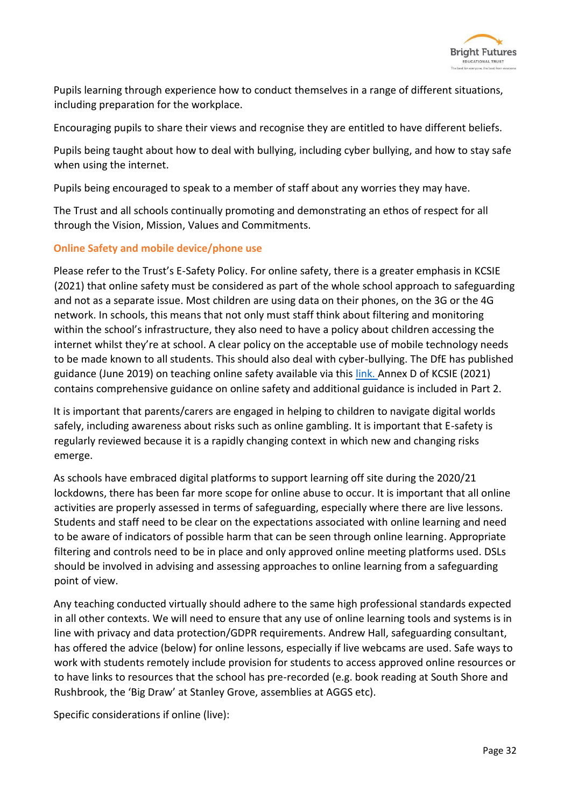

Pupils learning through experience how to conduct themselves in a range of different situations, including preparation for the workplace.

Encouraging pupils to share their views and recognise they are entitled to have different beliefs.

Pupils being taught about how to deal with bullying, including cyber bullying, and how to stay safe when using the internet.

Pupils being encouraged to speak to a member of staff about any worries they may have.

The Trust and all schools continually promoting and demonstrating an ethos of respect for all through the Vision, Mission, Values and Commitments.

## **Online Safety and mobile device/phone use**

Please refer to the Trust's E-Safety Policy. For online safety, there is a greater emphasis in KCSIE (2021) that online safety must be considered as part of the whole school approach to safeguarding and not as a separate issue. Most children are using data on their phones, on the 3G or the 4G network. In schools, this means that not only must staff think about filtering and monitoring within the school's infrastructure, they also need to have a policy about children accessing the internet whilst they're at school. A clear policy on the acceptable use of mobile technology needs to be made known to all students. This should also deal with cyber-bullying. The DfE has published guidance (June 2019) on teaching online safety available via this [link. An](https://assets.publishing.service.gov.uk/government/uploads/system/uploads/attachment_data/file/811796/Teaching_online_safety_in_school.pdf)nex D of KCSIE (2021) contains comprehensive guidance on online safety and additional guidance is included in Part 2.

It is important that parents/carers are engaged in helping to children to navigate digital worlds safely, including awareness about risks such as online gambling. It is important that E-safety is regularly reviewed because it is a rapidly changing context in which new and changing risks emerge.

As schools have embraced digital platforms to support learning off site during the 2020/21 lockdowns, there has been far more scope for online abuse to occur. It is important that all online activities are properly assessed in terms of safeguarding, especially where there are live lessons. Students and staff need to be clear on the expectations associated with online learning and need to be aware of indicators of possible harm that can be seen through online learning. Appropriate filtering and controls need to be in place and only approved online meeting platforms used. DSLs should be involved in advising and assessing approaches to online learning from a safeguarding point of view.

Any teaching conducted virtually should adhere to the same high professional standards expected in all other contexts. We will need to ensure that any use of online learning tools and systems is in line with privacy and data protection/GDPR requirements. Andrew Hall, safeguarding consultant, has offered the advice (below) for online lessons, especially if live webcams are used. Safe ways to work with students remotely include provision for students to access approved online resources or to have links to resources that the school has pre-recorded (e.g. book reading at South Shore and Rushbrook, the 'Big Draw' at Stanley Grove, assemblies at AGGS etc).

Specific considerations if online (live):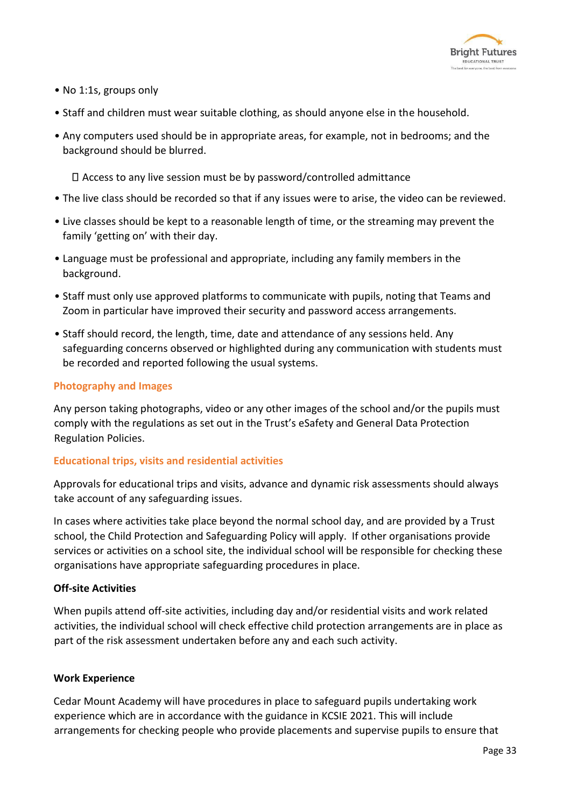

- No 1:1s, groups only
- Staff and children must wear suitable clothing, as should anyone else in the household.
- Any computers used should be in appropriate areas, for example, not in bedrooms; and the background should be blurred.

 $\Box$  Access to any live session must be by password/controlled admittance

- The live class should be recorded so that if any issues were to arise, the video can be reviewed.
- Live classes should be kept to a reasonable length of time, or the streaming may prevent the family 'getting on' with their day.
- Language must be professional and appropriate, including any family members in the background.
- Staff must only use approved platforms to communicate with pupils, noting that Teams and Zoom in particular have improved their security and password access arrangements.
- Staff should record, the length, time, date and attendance of any sessions held. Any safeguarding concerns observed or highlighted during any communication with students must be recorded and reported following the usual systems.

## **Photography and Images**

Any person taking photographs, video or any other images of the school and/or the pupils must comply with the regulations as set out in the Trust's eSafety and General Data Protection Regulation Policies.

## **Educational trips, visits and residential activities**

Approvals for educational trips and visits, advance and dynamic risk assessments should always take account of any safeguarding issues.

In cases where activities take place beyond the normal school day, and are provided by a Trust school, the Child Protection and Safeguarding Policy will apply. If other organisations provide services or activities on a school site, the individual school will be responsible for checking these organisations have appropriate safeguarding procedures in place.

## **Off-site Activities**

When pupils attend off-site activities, including day and/or residential visits and work related activities, the individual school will check effective child protection arrangements are in place as part of the risk assessment undertaken before any and each such activity.

## **Work Experience**

Cedar Mount Academy will have procedures in place to safeguard pupils undertaking work experience which are in accordance with the guidance in KCSIE 2021. This will include arrangements for checking people who provide placements and supervise pupils to ensure that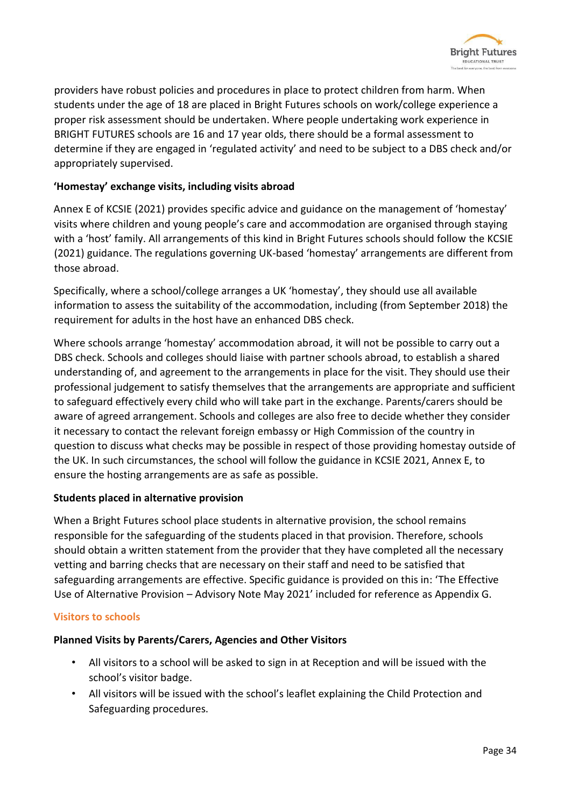

providers have robust policies and procedures in place to protect children from harm. When students under the age of 18 are placed in Bright Futures schools on work/college experience a proper risk assessment should be undertaken. Where people undertaking work experience in BRIGHT FUTURES schools are 16 and 17 year olds, there should be a formal assessment to determine if they are engaged in 'regulated activity' and need to be subject to a DBS check and/or appropriately supervised.

## **'Homestay' exchange visits, including visits abroad**

Annex E of KCSIE (2021) provides specific advice and guidance on the management of 'homestay' visits where children and young people's care and accommodation are organised through staying with a 'host' family. All arrangements of this kind in Bright Futures schools should follow the KCSIE (2021) guidance. The regulations governing UK-based 'homestay' arrangements are different from those abroad.

Specifically, where a school/college arranges a UK 'homestay', they should use all available information to assess the suitability of the accommodation, including (from September 2018) the requirement for adults in the host have an enhanced DBS check.

Where schools arrange 'homestay' accommodation abroad, it will not be possible to carry out a DBS check. Schools and colleges should liaise with partner schools abroad, to establish a shared understanding of, and agreement to the arrangements in place for the visit. They should use their professional judgement to satisfy themselves that the arrangements are appropriate and sufficient to safeguard effectively every child who will take part in the exchange. Parents/carers should be aware of agreed arrangement. Schools and colleges are also free to decide whether they consider it necessary to contact the relevant foreign embassy or High Commission of the country in question to discuss what checks may be possible in respect of those providing homestay outside of the UK. In such circumstances, the school will follow the guidance in KCSIE 2021, Annex E, to ensure the hosting arrangements are as safe as possible.

## **Students placed in alternative provision**

When a Bright Futures school place students in alternative provision, the school remains responsible for the safeguarding of the students placed in that provision. Therefore, schools should obtain a written statement from the provider that they have completed all the necessary vetting and barring checks that are necessary on their staff and need to be satisfied that safeguarding arrangements are effective. Specific guidance is provided on this in: 'The Effective Use of Alternative Provision – Advisory Note May 2021' included for reference as Appendix G.

## **Visitors to schools**

## **Planned Visits by Parents/Carers, Agencies and Other Visitors**

- All visitors to a school will be asked to sign in at Reception and will be issued with the school's visitor badge.
- All visitors will be issued with the school's leaflet explaining the Child Protection and Safeguarding procedures.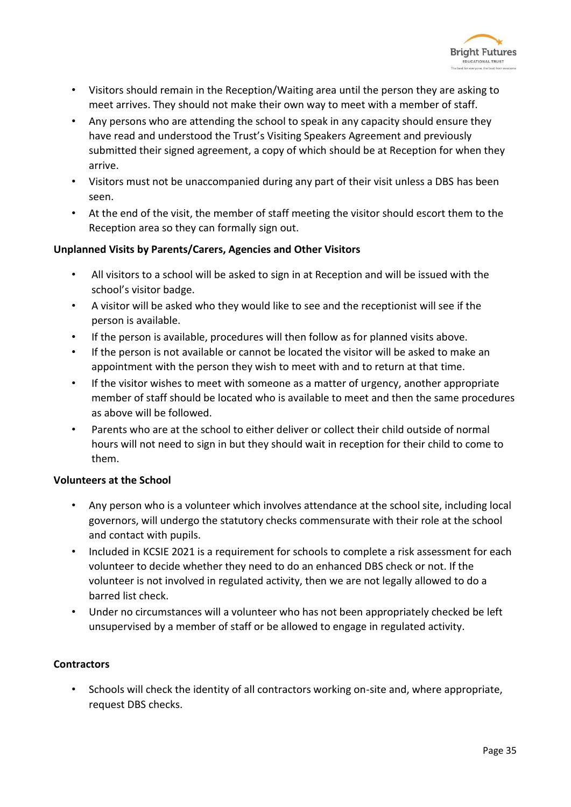

- Visitors should remain in the Reception/Waiting area until the person they are asking to meet arrives. They should not make their own way to meet with a member of staff.
- Any persons who are attending the school to speak in any capacity should ensure they have read and understood the Trust's Visiting Speakers Agreement and previously submitted their signed agreement, a copy of which should be at Reception for when they arrive.
- Visitors must not be unaccompanied during any part of their visit unless a DBS has been seen.
- At the end of the visit, the member of staff meeting the visitor should escort them to the Reception area so they can formally sign out.

## **Unplanned Visits by Parents/Carers, Agencies and Other Visitors**

- All visitors to a school will be asked to sign in at Reception and will be issued with the school's visitor badge.
- A visitor will be asked who they would like to see and the receptionist will see if the person is available.
- If the person is available, procedures will then follow as for planned visits above.
- If the person is not available or cannot be located the visitor will be asked to make an appointment with the person they wish to meet with and to return at that time.
- If the visitor wishes to meet with someone as a matter of urgency, another appropriate member of staff should be located who is available to meet and then the same procedures as above will be followed.
- Parents who are at the school to either deliver or collect their child outside of normal hours will not need to sign in but they should wait in reception for their child to come to them.

## **Volunteers at the School**

- Any person who is a volunteer which involves attendance at the school site, including local governors, will undergo the statutory checks commensurate with their role at the school and contact with pupils.
- Included in KCSIE 2021 is a requirement for schools to complete a risk assessment for each volunteer to decide whether they need to do an enhanced DBS check or not. If the volunteer is not involved in regulated activity, then we are not legally allowed to do a barred list check.
- Under no circumstances will a volunteer who has not been appropriately checked be left unsupervised by a member of staff or be allowed to engage in regulated activity.

## **Contractors**

• Schools will check the identity of all contractors working on-site and, where appropriate, request DBS checks.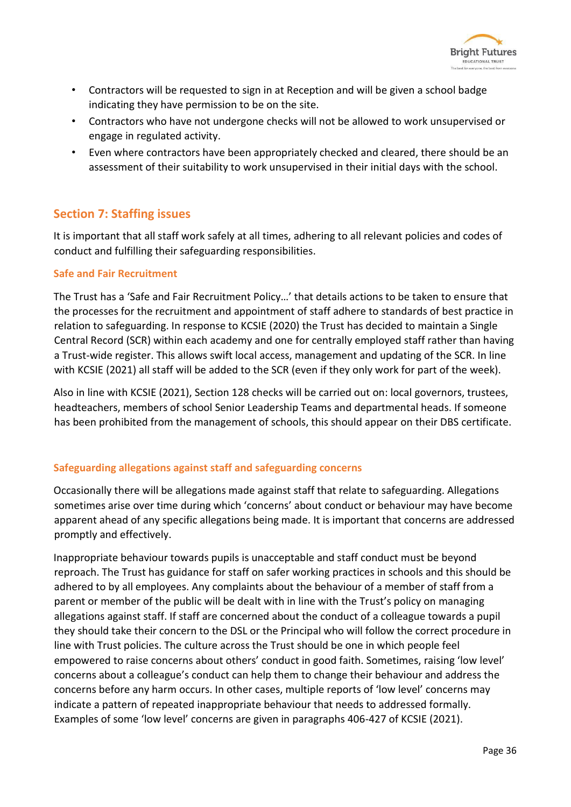

- Contractors will be requested to sign in at Reception and will be given a school badge indicating they have permission to be on the site.
- Contractors who have not undergone checks will not be allowed to work unsupervised or engage in regulated activity.
- Even where contractors have been appropriately checked and cleared, there should be an assessment of their suitability to work unsupervised in their initial days with the school.

## **Section 7: Staffing issues**

It is important that all staff work safely at all times, adhering to all relevant policies and codes of conduct and fulfilling their safeguarding responsibilities.

## **Safe and Fair Recruitment**

The Trust has a 'Safe and Fair Recruitment Policy…' that details actions to be taken to ensure that the processes for the recruitment and appointment of staff adhere to standards of best practice in relation to safeguarding. In response to KCSIE (2020) the Trust has decided to maintain a Single Central Record (SCR) within each academy and one for centrally employed staff rather than having a Trust-wide register. This allows swift local access, management and updating of the SCR. In line with KCSIE (2021) all staff will be added to the SCR (even if they only work for part of the week).

Also in line with KCSIE (2021), Section 128 checks will be carried out on: local governors, trustees, headteachers, members of school Senior Leadership Teams and departmental heads. If someone has been prohibited from the management of schools, this should appear on their DBS certificate.

## **Safeguarding allegations against staff and safeguarding concerns**

Occasionally there will be allegations made against staff that relate to safeguarding. Allegations sometimes arise over time during which 'concerns' about conduct or behaviour may have become apparent ahead of any specific allegations being made. It is important that concerns are addressed promptly and effectively.

Inappropriate behaviour towards pupils is unacceptable and staff conduct must be beyond reproach. The Trust has guidance for staff on safer working practices in schools and this should be adhered to by all employees. Any complaints about the behaviour of a member of staff from a parent or member of the public will be dealt with in line with the Trust's policy on managing allegations against staff. If staff are concerned about the conduct of a colleague towards a pupil they should take their concern to the DSL or the Principal who will follow the correct procedure in line with Trust policies. The culture across the Trust should be one in which people feel empowered to raise concerns about others' conduct in good faith. Sometimes, raising 'low level' concerns about a colleague's conduct can help them to change their behaviour and address the concerns before any harm occurs. In other cases, multiple reports of 'low level' concerns may indicate a pattern of repeated inappropriate behaviour that needs to addressed formally. Examples of some 'low level' concerns are given in paragraphs 406-427 of KCSIE (2021).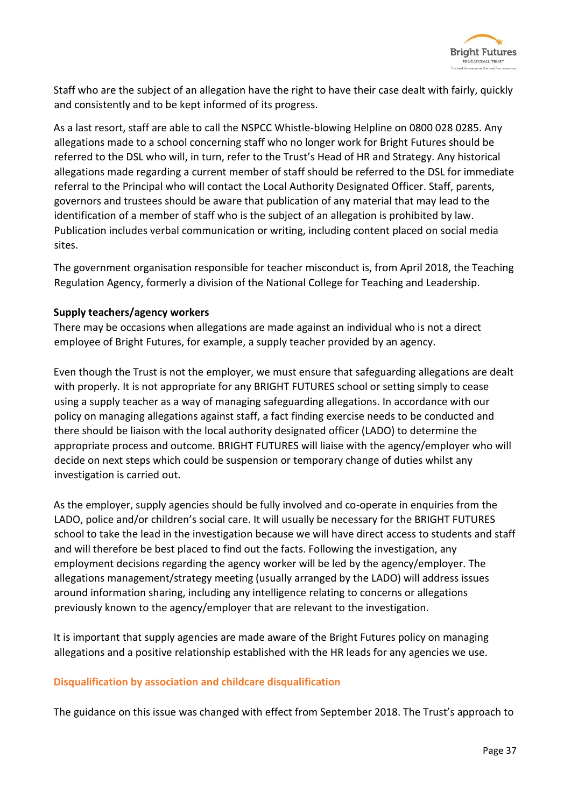

Staff who are the subject of an allegation have the right to have their case dealt with fairly, quickly and consistently and to be kept informed of its progress.

As a last resort, staff are able to call the NSPCC Whistle-blowing Helpline on 0800 028 0285. Any allegations made to a school concerning staff who no longer work for Bright Futures should be referred to the DSL who will, in turn, refer to the Trust's Head of HR and Strategy. Any historical allegations made regarding a current member of staff should be referred to the DSL for immediate referral to the Principal who will contact the Local Authority Designated Officer. Staff, parents, governors and trustees should be aware that publication of any material that may lead to the identification of a member of staff who is the subject of an allegation is prohibited by law. Publication includes verbal communication or writing, including content placed on social media sites.

The government organisation responsible for teacher misconduct is, from April 2018, the Teaching Regulation Agency, formerly a division of the National College for Teaching and Leadership.

## **Supply teachers/agency workers**

There may be occasions when allegations are made against an individual who is not a direct employee of Bright Futures, for example, a supply teacher provided by an agency.

Even though the Trust is not the employer, we must ensure that safeguarding allegations are dealt with properly. It is not appropriate for any BRIGHT FUTURES school or setting simply to cease using a supply teacher as a way of managing safeguarding allegations. In accordance with our policy on managing allegations against staff, a fact finding exercise needs to be conducted and there should be liaison with the local authority designated officer (LADO) to determine the appropriate process and outcome. BRIGHT FUTURES will liaise with the agency/employer who will decide on next steps which could be suspension or temporary change of duties whilst any investigation is carried out.

As the employer, supply agencies should be fully involved and co-operate in enquiries from the LADO, police and/or children's social care. It will usually be necessary for the BRIGHT FUTURES school to take the lead in the investigation because we will have direct access to students and staff and will therefore be best placed to find out the facts. Following the investigation, any employment decisions regarding the agency worker will be led by the agency/employer. The allegations management/strategy meeting (usually arranged by the LADO) will address issues around information sharing, including any intelligence relating to concerns or allegations previously known to the agency/employer that are relevant to the investigation.

It is important that supply agencies are made aware of the Bright Futures policy on managing allegations and a positive relationship established with the HR leads for any agencies we use.

## **Disqualification by association and childcare disqualification**

The guidance on this issue was changed with effect from September 2018. The Trust's approach to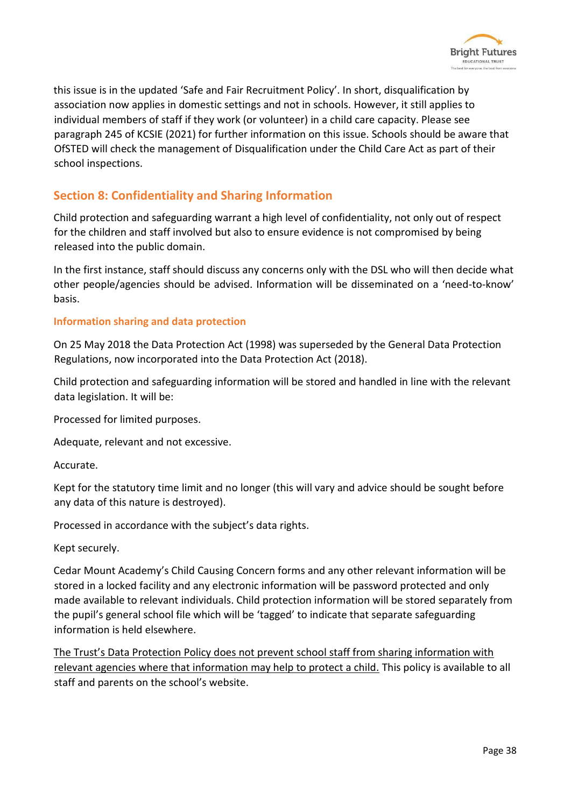

this issue is in the updated 'Safe and Fair Recruitment Policy'. In short, disqualification by association now applies in domestic settings and not in schools. However, it still applies to individual members of staff if they work (or volunteer) in a child care capacity. Please see paragraph 245 of KCSIE (2021) for further information on this issue. Schools should be aware that OfSTED will check the management of Disqualification under the Child Care Act as part of their school inspections.

# **Section 8: Confidentiality and Sharing Information**

Child protection and safeguarding warrant a high level of confidentiality, not only out of respect for the children and staff involved but also to ensure evidence is not compromised by being released into the public domain.

In the first instance, staff should discuss any concerns only with the DSL who will then decide what other people/agencies should be advised. Information will be disseminated on a 'need-to-know' basis.

## **Information sharing and data protection**

On 25 May 2018 the Data Protection Act (1998) was superseded by the General Data Protection Regulations, now incorporated into the Data Protection Act (2018).

Child protection and safeguarding information will be stored and handled in line with the relevant data legislation. It will be:

Processed for limited purposes.

Adequate, relevant and not excessive.

Accurate.

Kept for the statutory time limit and no longer (this will vary and advice should be sought before any data of this nature is destroyed).

Processed in accordance with the subject's data rights.

Kept securely.

Cedar Mount Academy's Child Causing Concern forms and any other relevant information will be stored in a locked facility and any electronic information will be password protected and only made available to relevant individuals. Child protection information will be stored separately from the pupil's general school file which will be 'tagged' to indicate that separate safeguarding information is held elsewhere.

The Trust's Data Protection Policy does not prevent school staff from sharing information with relevant agencies where that information may help to protect a child. This policy is available to all staff and parents on the school's website.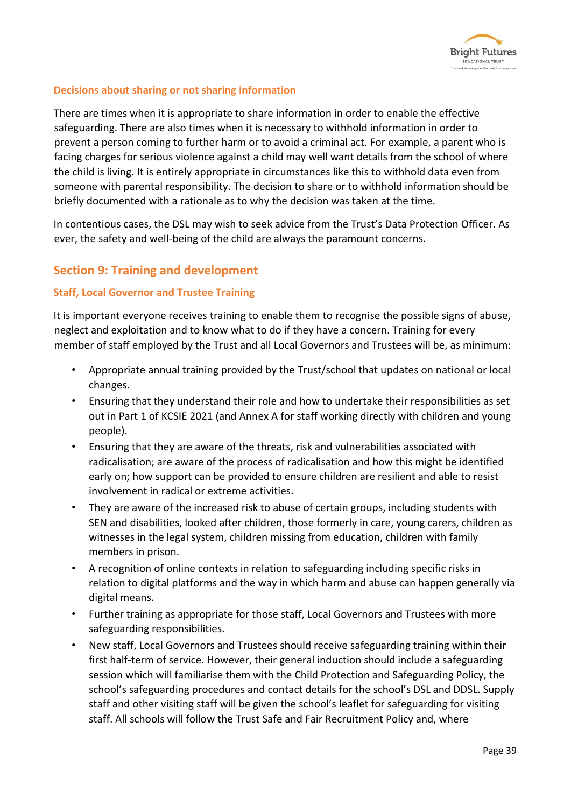

## **Decisions about sharing or not sharing information**

There are times when it is appropriate to share information in order to enable the effective safeguarding. There are also times when it is necessary to withhold information in order to prevent a person coming to further harm or to avoid a criminal act. For example, a parent who is facing charges for serious violence against a child may well want details from the school of where the child is living. It is entirely appropriate in circumstances like this to withhold data even from someone with parental responsibility. The decision to share or to withhold information should be briefly documented with a rationale as to why the decision was taken at the time.

In contentious cases, the DSL may wish to seek advice from the Trust's Data Protection Officer. As ever, the safety and well-being of the child are always the paramount concerns.

# **Section 9: Training and development**

## **Staff, Local Governor and Trustee Training**

It is important everyone receives training to enable them to recognise the possible signs of abuse, neglect and exploitation and to know what to do if they have a concern. Training for every member of staff employed by the Trust and all Local Governors and Trustees will be, as minimum:

- Appropriate annual training provided by the Trust/school that updates on national or local changes.
- Ensuring that they understand their role and how to undertake their responsibilities as set out in Part 1 of KCSIE 2021 (and Annex A for staff working directly with children and young people).
- Ensuring that they are aware of the threats, risk and vulnerabilities associated with radicalisation; are aware of the process of radicalisation and how this might be identified early on; how support can be provided to ensure children are resilient and able to resist involvement in radical or extreme activities.
- They are aware of the increased risk to abuse of certain groups, including students with SEN and disabilities, looked after children, those formerly in care, young carers, children as witnesses in the legal system, children missing from education, children with family members in prison.
- A recognition of online contexts in relation to safeguarding including specific risks in relation to digital platforms and the way in which harm and abuse can happen generally via digital means.
- Further training as appropriate for those staff, Local Governors and Trustees with more safeguarding responsibilities.
- New staff, Local Governors and Trustees should receive safeguarding training within their first half-term of service. However, their general induction should include a safeguarding session which will familiarise them with the Child Protection and Safeguarding Policy, the school's safeguarding procedures and contact details for the school's DSL and DDSL. Supply staff and other visiting staff will be given the school's leaflet for safeguarding for visiting staff. All schools will follow the Trust Safe and Fair Recruitment Policy and, where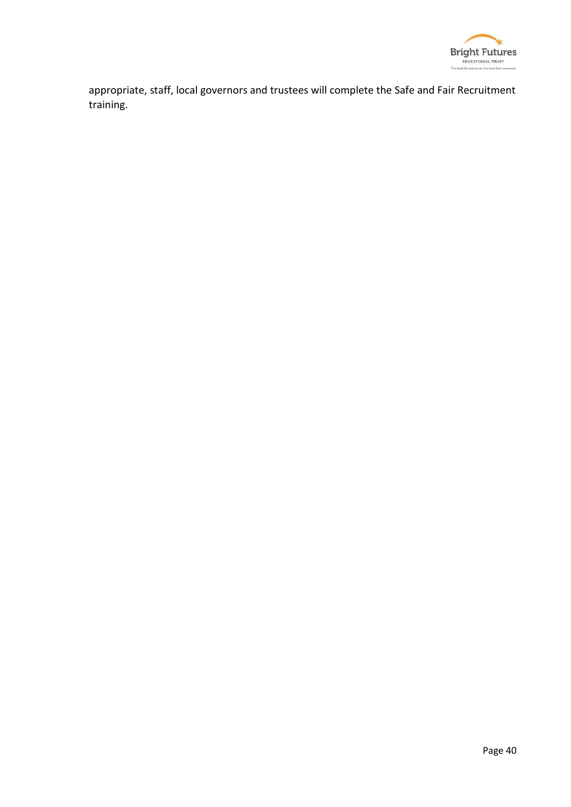

appropriate, staff, local governors and trustees will complete the Safe and Fair Recruitment training.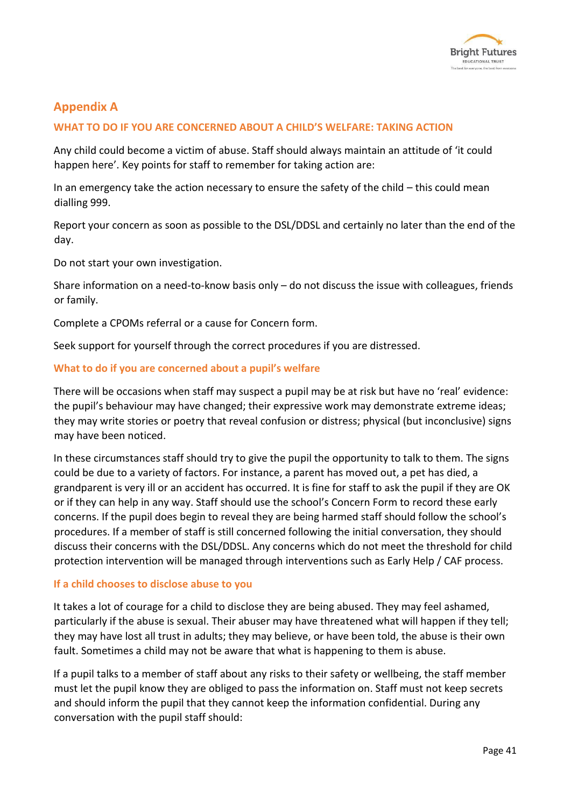

# **Appendix A**

## **WHAT TO DO IF YOU ARE CONCERNED ABOUT A CHILD'S WELFARE: TAKING ACTION**

Any child could become a victim of abuse. Staff should always maintain an attitude of 'it could happen here'. Key points for staff to remember for taking action are:

In an emergency take the action necessary to ensure the safety of the child – this could mean dialling 999.

Report your concern as soon as possible to the DSL/DDSL and certainly no later than the end of the day.

Do not start your own investigation.

Share information on a need-to-know basis only – do not discuss the issue with colleagues, friends or family.

Complete a CPOMs referral or a cause for Concern form.

Seek support for yourself through the correct procedures if you are distressed.

#### **What to do if you are concerned about a pupil's welfare**

There will be occasions when staff may suspect a pupil may be at risk but have no 'real' evidence: the pupil's behaviour may have changed; their expressive work may demonstrate extreme ideas; they may write stories or poetry that reveal confusion or distress; physical (but inconclusive) signs may have been noticed.

In these circumstances staff should try to give the pupil the opportunity to talk to them. The signs could be due to a variety of factors. For instance, a parent has moved out, a pet has died, a grandparent is very ill or an accident has occurred. It is fine for staff to ask the pupil if they are OK or if they can help in any way. Staff should use the school's Concern Form to record these early concerns. If the pupil does begin to reveal they are being harmed staff should follow the school's procedures. If a member of staff is still concerned following the initial conversation, they should discuss their concerns with the DSL/DDSL. Any concerns which do not meet the threshold for child protection intervention will be managed through interventions such as Early Help / CAF process.

#### **If a child chooses to disclose abuse to you**

It takes a lot of courage for a child to disclose they are being abused. They may feel ashamed, particularly if the abuse is sexual. Their abuser may have threatened what will happen if they tell; they may have lost all trust in adults; they may believe, or have been told, the abuse is their own fault. Sometimes a child may not be aware that what is happening to them is abuse.

If a pupil talks to a member of staff about any risks to their safety or wellbeing, the staff member must let the pupil know they are obliged to pass the information on. Staff must not keep secrets and should inform the pupil that they cannot keep the information confidential. During any conversation with the pupil staff should: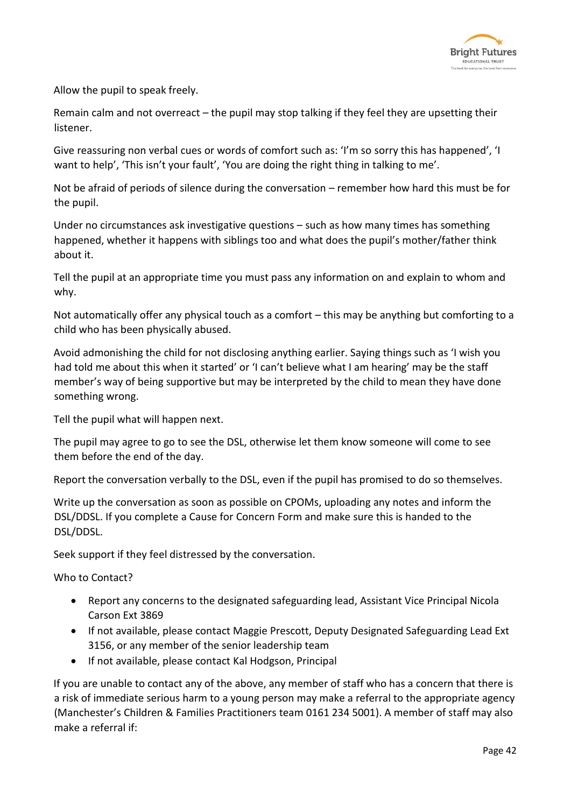

Allow the pupil to speak freely.

Remain calm and not overreact – the pupil may stop talking if they feel they are upsetting their listener.

Give reassuring non verbal cues or words of comfort such as: 'I'm so sorry this has happened', 'I want to help', 'This isn't your fault', 'You are doing the right thing in talking to me'.

Not be afraid of periods of silence during the conversation – remember how hard this must be for the pupil.

Under no circumstances ask investigative questions – such as how many times has something happened, whether it happens with siblings too and what does the pupil's mother/father think about it.

Tell the pupil at an appropriate time you must pass any information on and explain to whom and why.

Not automatically offer any physical touch as a comfort – this may be anything but comforting to a child who has been physically abused.

Avoid admonishing the child for not disclosing anything earlier. Saying things such as 'I wish you had told me about this when it started' or 'I can't believe what I am hearing' may be the staff member's way of being supportive but may be interpreted by the child to mean they have done something wrong.

Tell the pupil what will happen next.

The pupil may agree to go to see the DSL, otherwise let them know someone will come to see them before the end of the day.

Report the conversation verbally to the DSL, even if the pupil has promised to do so themselves.

Write up the conversation as soon as possible on CPOMs, uploading any notes and inform the DSL/DDSL. If you complete a Cause for Concern Form and make sure this is handed to the DSL/DDSL.

Seek support if they feel distressed by the conversation.

Who to Contact?

- Report any concerns to the designated safeguarding lead, Assistant Vice Principal Nicola Carson Ext 3869
- If not available, please contact Maggie Prescott, Deputy Designated Safeguarding Lead Ext 3156, or any member of the senior leadership team
- If not available, please contact Kal Hodgson, Principal

If you are unable to contact any of the above, any member of staff who has a concern that there is a risk of immediate serious harm to a young person may make a referral to the appropriate agency (Manchester's Children & Families Practitioners team 0161 234 5001). A member of staff may also make a referral if: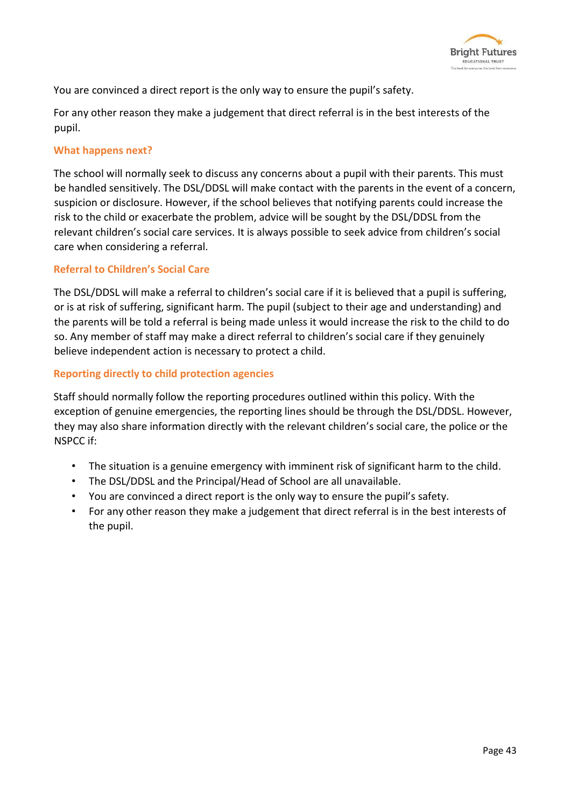

You are convinced a direct report is the only way to ensure the pupil's safety.

For any other reason they make a judgement that direct referral is in the best interests of the pupil.

## **What happens next?**

The school will normally seek to discuss any concerns about a pupil with their parents. This must be handled sensitively. The DSL/DDSL will make contact with the parents in the event of a concern, suspicion or disclosure. However, if the school believes that notifying parents could increase the risk to the child or exacerbate the problem, advice will be sought by the DSL/DDSL from the relevant children's social care services. It is always possible to seek advice from children's social care when considering a referral.

## **Referral to Children's Social Care**

The DSL/DDSL will make a referral to children's social care if it is believed that a pupil is suffering, or is at risk of suffering, significant harm. The pupil (subject to their age and understanding) and the parents will be told a referral is being made unless it would increase the risk to the child to do so. Any member of staff may make a direct referral to children's social care if they genuinely believe independent action is necessary to protect a child.

## **Reporting directly to child protection agencies**

Staff should normally follow the reporting procedures outlined within this policy. With the exception of genuine emergencies, the reporting lines should be through the DSL/DDSL. However, they may also share information directly with the relevant children's social care, the police or the NSPCC if:

- The situation is a genuine emergency with imminent risk of significant harm to the child.
- The DSL/DDSL and the Principal/Head of School are all unavailable.
- You are convinced a direct report is the only way to ensure the pupil's safety.
- For any other reason they make a judgement that direct referral is in the best interests of the pupil.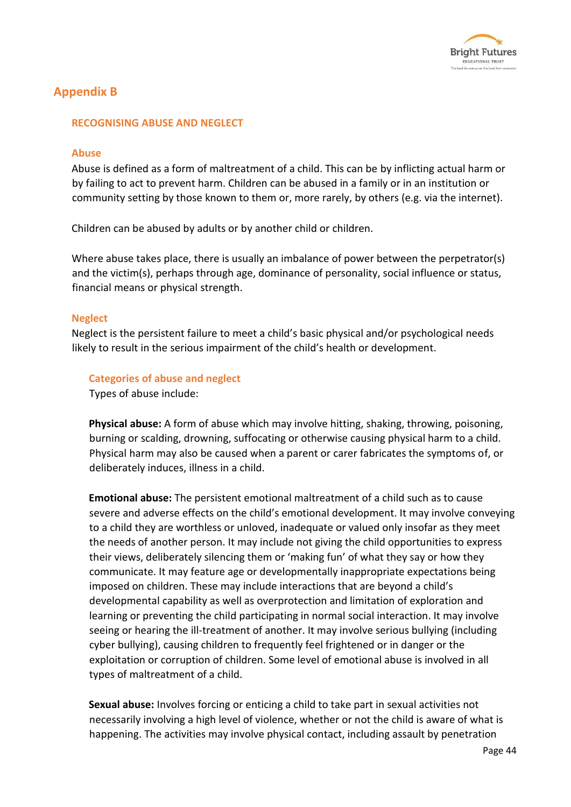

## **Appendix B**

#### **RECOGNISING ABUSE AND NEGLECT**

#### **Abuse**

Abuse is defined as a form of maltreatment of a child. This can be by inflicting actual harm or by failing to act to prevent harm. Children can be abused in a family or in an institution or community setting by those known to them or, more rarely, by others (e.g. via the internet).

Children can be abused by adults or by another child or children.

Where abuse takes place, there is usually an imbalance of power between the perpetrator(s) and the victim(s), perhaps through age, dominance of personality, social influence or status, financial means or physical strength.

#### **Neglect**

Neglect is the persistent failure to meet a child's basic physical and/or psychological needs likely to result in the serious impairment of the child's health or development.

#### **Categories of abuse and neglect**

Types of abuse include:

**Physical abuse:** A form of abuse which may involve hitting, shaking, throwing, poisoning, burning or scalding, drowning, suffocating or otherwise causing physical harm to a child. Physical harm may also be caused when a parent or carer fabricates the symptoms of, or deliberately induces, illness in a child.

**Emotional abuse:** The persistent emotional maltreatment of a child such as to cause severe and adverse effects on the child's emotional development. It may involve conveying to a child they are worthless or unloved, inadequate or valued only insofar as they meet the needs of another person. It may include not giving the child opportunities to express their views, deliberately silencing them or 'making fun' of what they say or how they communicate. It may feature age or developmentally inappropriate expectations being imposed on children. These may include interactions that are beyond a child's developmental capability as well as overprotection and limitation of exploration and learning or preventing the child participating in normal social interaction. It may involve seeing or hearing the ill-treatment of another. It may involve serious bullying (including cyber bullying), causing children to frequently feel frightened or in danger or the exploitation or corruption of children. Some level of emotional abuse is involved in all types of maltreatment of a child.

**Sexual abuse:** Involves forcing or enticing a child to take part in sexual activities not necessarily involving a high level of violence, whether or not the child is aware of what is happening. The activities may involve physical contact, including assault by penetration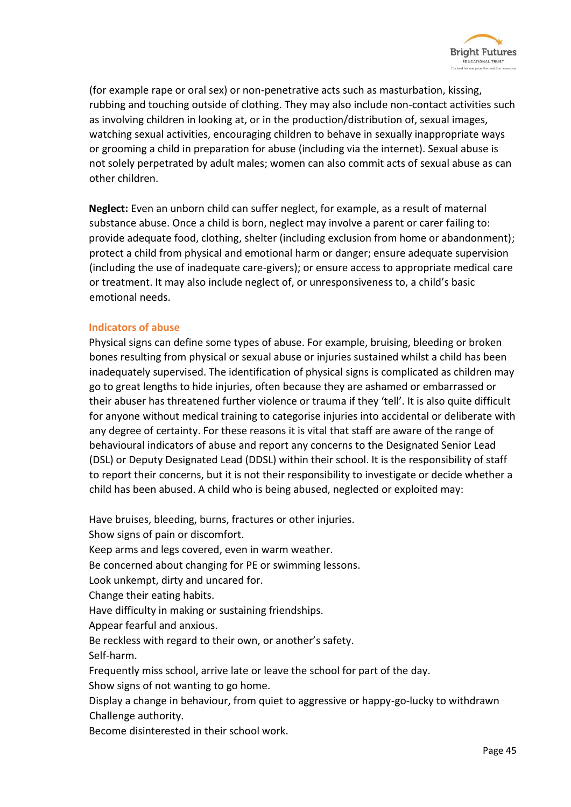

(for example rape or oral sex) or non-penetrative acts such as masturbation, kissing, rubbing and touching outside of clothing. They may also include non-contact activities such as involving children in looking at, or in the production/distribution of, sexual images, watching sexual activities, encouraging children to behave in sexually inappropriate ways or grooming a child in preparation for abuse (including via the internet). Sexual abuse is not solely perpetrated by adult males; women can also commit acts of sexual abuse as can other children.

**Neglect:** Even an unborn child can suffer neglect, for example, as a result of maternal substance abuse. Once a child is born, neglect may involve a parent or carer failing to: provide adequate food, clothing, shelter (including exclusion from home or abandonment); protect a child from physical and emotional harm or danger; ensure adequate supervision (including the use of inadequate care-givers); or ensure access to appropriate medical care or treatment. It may also include neglect of, or unresponsiveness to, a child's basic emotional needs.

## **Indicators of abuse**

Physical signs can define some types of abuse. For example, bruising, bleeding or broken bones resulting from physical or sexual abuse or injuries sustained whilst a child has been inadequately supervised. The identification of physical signs is complicated as children may go to great lengths to hide injuries, often because they are ashamed or embarrassed or their abuser has threatened further violence or trauma if they 'tell'. It is also quite difficult for anyone without medical training to categorise injuries into accidental or deliberate with any degree of certainty. For these reasons it is vital that staff are aware of the range of behavioural indicators of abuse and report any concerns to the Designated Senior Lead (DSL) or Deputy Designated Lead (DDSL) within their school. It is the responsibility of staff to report their concerns, but it is not their responsibility to investigate or decide whether a child has been abused. A child who is being abused, neglected or exploited may:

Have bruises, bleeding, burns, fractures or other injuries. Show signs of pain or discomfort. Keep arms and legs covered, even in warm weather. Be concerned about changing for PE or swimming lessons. Look unkempt, dirty and uncared for. Change their eating habits. Have difficulty in making or sustaining friendships. Appear fearful and anxious. Be reckless with regard to their own, or another's safety. Self-harm. Frequently miss school, arrive late or leave the school for part of the day. Show signs of not wanting to go home. Display a change in behaviour, from quiet to aggressive or happy-go-lucky to withdrawn Challenge authority.

Become disinterested in their school work.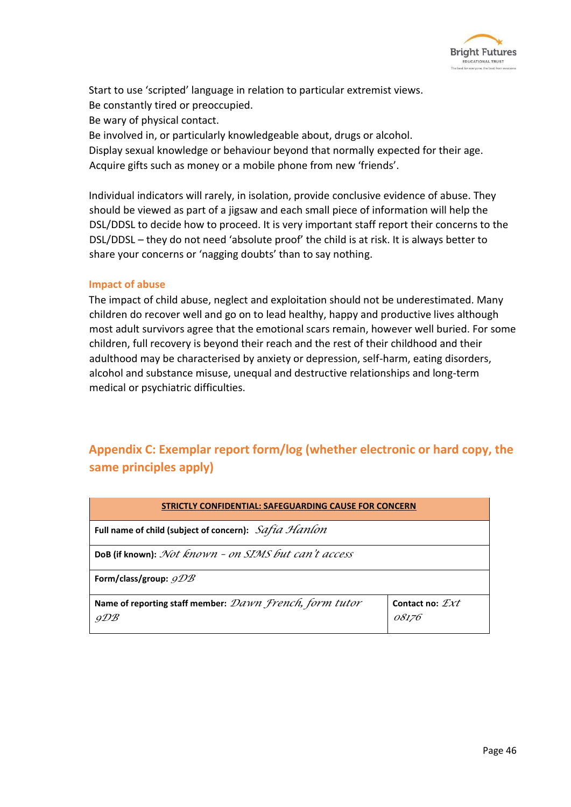

Start to use 'scripted' language in relation to particular extremist views. Be constantly tired or preoccupied. Be wary of physical contact.

Be involved in, or particularly knowledgeable about, drugs or alcohol. Display sexual knowledge or behaviour beyond that normally expected for their age. Acquire gifts such as money or a mobile phone from new 'friends'.

Individual indicators will rarely, in isolation, provide conclusive evidence of abuse. They should be viewed as part of a jigsaw and each small piece of information will help the DSL/DDSL to decide how to proceed. It is very important staff report their concerns to the DSL/DDSL – they do not need 'absolute proof' the child is at risk. It is always better to share your concerns or 'nagging doubts' than to say nothing.

## **Impact of abuse**

The impact of child abuse, neglect and exploitation should not be underestimated. Many children do recover well and go on to lead healthy, happy and productive lives although most adult survivors agree that the emotional scars remain, however well buried. For some children, full recovery is beyond their reach and the rest of their childhood and their adulthood may be characterised by anxiety or depression, self-harm, eating disorders, alcohol and substance misuse, unequal and destructive relationships and long-term medical or psychiatric difficulties.

# **Appendix C: Exemplar report form/log (whether electronic or hard copy, the same principles apply)**

| <b>STRICTLY CONFIDENTIAL: SAFEGUARDING CAUSE FOR CONCERN</b>   |                                 |  |
|----------------------------------------------------------------|---------------------------------|--|
| Full name of child (subject of concern): Safia Hanlon          |                                 |  |
| DoB (if known): Not known - on SIMS but can't access           |                                 |  |
| Form/class/group: $gD\mathcal{B}$                              |                                 |  |
| Name of reporting staff member: Dawn French, form tutor<br>9DB | Contact no: <i>Ext</i><br>08176 |  |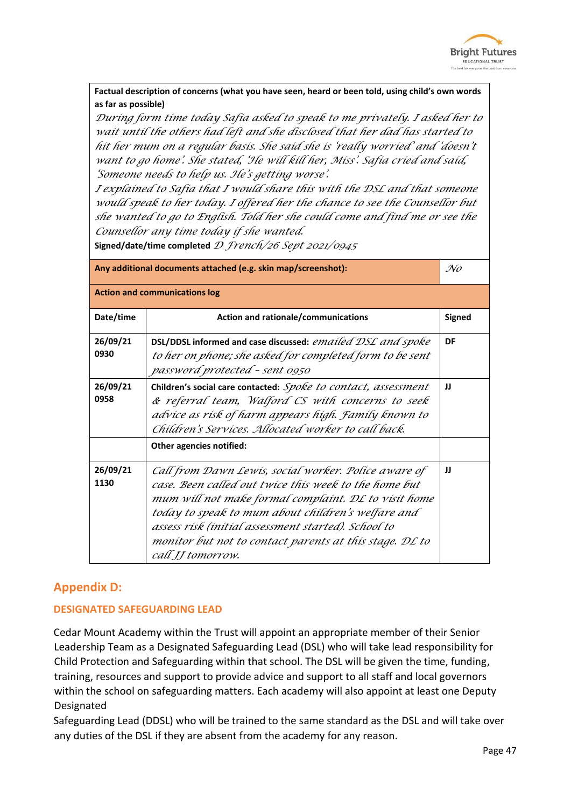**Factual description of concerns (what you have seen, heard or been told, using child's own words as far as possible)** 

*During form time today Safia asked to speak to me privately. I asked her to wait until the others had left and she disclosed that her dad has started to hit her mum on a regular basis. She said she is 'really worried' and 'doesn't want to go home'. She stated, 'He will kill her, Miss'. Safia cried and said, 'Someone needs to help us. He's getting worse'.* 

*I explained to Safia that I would share this with the DSL and that someone would speak to her today. I offered her the chance to see the Counsellor but she wanted to go to English. Told her she could come and find me or see the Counsellor any time today if she wanted.* 

**Signed/date/time completed** *D French/26 Sept 2021/0945* 

|                  | Any additional documents attached (e.g. skin map/screenshot):                                                                                                                                                                                                                                                                                                      | $\mathcal{N}o$ |
|------------------|--------------------------------------------------------------------------------------------------------------------------------------------------------------------------------------------------------------------------------------------------------------------------------------------------------------------------------------------------------------------|----------------|
|                  | <b>Action and communications log</b>                                                                                                                                                                                                                                                                                                                               |                |
| Date/time        | Action and rationale/communications                                                                                                                                                                                                                                                                                                                                | <b>Signed</b>  |
| 26/09/21<br>0930 | DSL/DDSL informed and case discussed: emailed DSL and spoke<br>to her on phone; she asked for completed form to be sent<br>password protected - sent 0950                                                                                                                                                                                                          | DF             |
| 26/09/21<br>0958 | Children's social care contacted: Spoke to contact, assessment<br>& referral team, Walford CS with concerns to seek<br>advíce as rísk of harm appears hígh. Famíly known to<br>Children's Services. Allocated worker to call back.                                                                                                                                 | IJ             |
|                  | Other agencies notified:                                                                                                                                                                                                                                                                                                                                           |                |
| 26/09/21<br>1130 | Call from Dawn Lewis, social worker. Police aware of<br>case. Been called out twice this week to the home but<br>mum will not make formal complaint. DL to visit home<br>today to speak to mum about children's welfare and<br>assess risk (initial assessment started). School to<br>monitor but not to contact parents at this stage. DL to<br>call JJ tomorrow. | IJ             |

# **Appendix D:**

## **DESIGNATED SAFEGUARDING LEAD**

Cedar Mount Academy within the Trust will appoint an appropriate member of their Senior Leadership Team as a Designated Safeguarding Lead (DSL) who will take lead responsibility for Child Protection and Safeguarding within that school. The DSL will be given the time, funding, training, resources and support to provide advice and support to all staff and local governors within the school on safeguarding matters. Each academy will also appoint at least one Deputy Designated

Safeguarding Lead (DDSL) who will be trained to the same standard as the DSL and will take over any duties of the DSL if they are absent from the academy for any reason.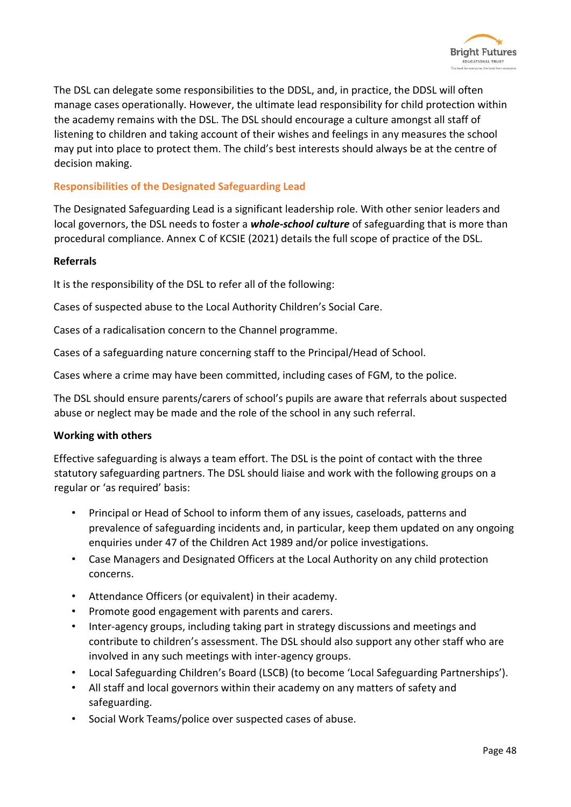

The DSL can delegate some responsibilities to the DDSL, and, in practice, the DDSL will often manage cases operationally. However, the ultimate lead responsibility for child protection within the academy remains with the DSL. The DSL should encourage a culture amongst all staff of listening to children and taking account of their wishes and feelings in any measures the school may put into place to protect them. The child's best interests should always be at the centre of decision making.

## **Responsibilities of the Designated Safeguarding Lead**

The Designated Safeguarding Lead is a significant leadership role. With other senior leaders and local governors, the DSL needs to foster a *whole-school culture* of safeguarding that is more than procedural compliance. Annex C of KCSIE (2021) details the full scope of practice of the DSL.

#### **Referrals**

It is the responsibility of the DSL to refer all of the following:

Cases of suspected abuse to the Local Authority Children's Social Care.

Cases of a radicalisation concern to the Channel programme.

Cases of a safeguarding nature concerning staff to the Principal/Head of School.

Cases where a crime may have been committed, including cases of FGM, to the police.

The DSL should ensure parents/carers of school's pupils are aware that referrals about suspected abuse or neglect may be made and the role of the school in any such referral.

## **Working with others**

Effective safeguarding is always a team effort. The DSL is the point of contact with the three statutory safeguarding partners. The DSL should liaise and work with the following groups on a regular or 'as required' basis:

- Principal or Head of School to inform them of any issues, caseloads, patterns and prevalence of safeguarding incidents and, in particular, keep them updated on any ongoing enquiries under 47 of the Children Act 1989 and/or police investigations.
- Case Managers and Designated Officers at the Local Authority on any child protection concerns.
- Attendance Officers (or equivalent) in their academy.
- Promote good engagement with parents and carers.
- Inter-agency groups, including taking part in strategy discussions and meetings and contribute to children's assessment. The DSL should also support any other staff who are involved in any such meetings with inter-agency groups.
- Local Safeguarding Children's Board (LSCB) (to become 'Local Safeguarding Partnerships').
- All staff and local governors within their academy on any matters of safety and safeguarding.
- Social Work Teams/police over suspected cases of abuse.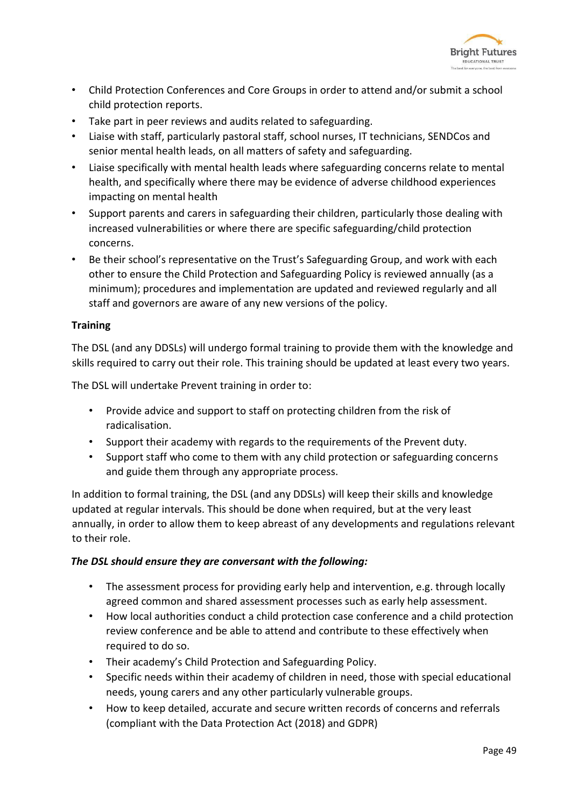

- Child Protection Conferences and Core Groups in order to attend and/or submit a school child protection reports.
- Take part in peer reviews and audits related to safeguarding.
- Liaise with staff, particularly pastoral staff, school nurses, IT technicians, SENDCos and senior mental health leads, on all matters of safety and safeguarding.
- Liaise specifically with mental health leads where safeguarding concerns relate to mental health, and specifically where there may be evidence of adverse childhood experiences impacting on mental health
- Support parents and carers in safeguarding their children, particularly those dealing with increased vulnerabilities or where there are specific safeguarding/child protection concerns.
- Be their school's representative on the Trust's Safeguarding Group, and work with each other to ensure the Child Protection and Safeguarding Policy is reviewed annually (as a minimum); procedures and implementation are updated and reviewed regularly and all staff and governors are aware of any new versions of the policy.

## **Training**

The DSL (and any DDSLs) will undergo formal training to provide them with the knowledge and skills required to carry out their role. This training should be updated at least every two years.

The DSL will undertake Prevent training in order to:

- Provide advice and support to staff on protecting children from the risk of radicalisation.
- Support their academy with regards to the requirements of the Prevent duty.
- Support staff who come to them with any child protection or safeguarding concerns and guide them through any appropriate process.

In addition to formal training, the DSL (and any DDSLs) will keep their skills and knowledge updated at regular intervals. This should be done when required, but at the very least annually, in order to allow them to keep abreast of any developments and regulations relevant to their role.

## *The DSL should ensure they are conversant with the following:*

- The assessment process for providing early help and intervention, e.g. through locally agreed common and shared assessment processes such as early help assessment.
- How local authorities conduct a child protection case conference and a child protection review conference and be able to attend and contribute to these effectively when required to do so.
- Their academy's Child Protection and Safeguarding Policy.
- Specific needs within their academy of children in need, those with special educational needs, young carers and any other particularly vulnerable groups.
- How to keep detailed, accurate and secure written records of concerns and referrals (compliant with the Data Protection Act (2018) and GDPR)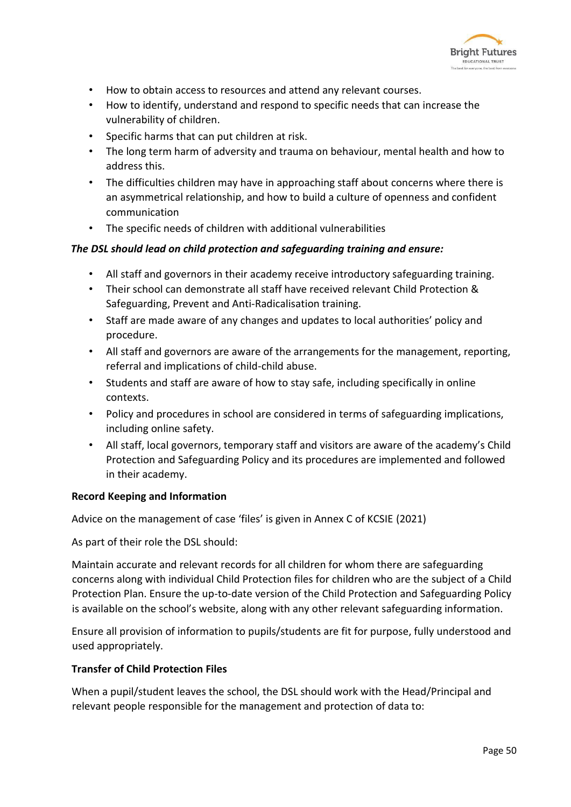

- How to obtain access to resources and attend any relevant courses.
- How to identify, understand and respond to specific needs that can increase the vulnerability of children.
- Specific harms that can put children at risk.
- The long term harm of adversity and trauma on behaviour, mental health and how to address this.
- The difficulties children may have in approaching staff about concerns where there is an asymmetrical relationship, and how to build a culture of openness and confident communication
- The specific needs of children with additional vulnerabilities

## *The DSL should lead on child protection and safeguarding training and ensure:*

- All staff and governors in their academy receive introductory safeguarding training.
- Their school can demonstrate all staff have received relevant Child Protection & Safeguarding, Prevent and Anti-Radicalisation training.
- Staff are made aware of any changes and updates to local authorities' policy and procedure.
- All staff and governors are aware of the arrangements for the management, reporting, referral and implications of child-child abuse.
- Students and staff are aware of how to stay safe, including specifically in online contexts.
- Policy and procedures in school are considered in terms of safeguarding implications, including online safety.
- All staff, local governors, temporary staff and visitors are aware of the academy's Child Protection and Safeguarding Policy and its procedures are implemented and followed in their academy.

## **Record Keeping and Information**

Advice on the management of case 'files' is given in Annex C of KCSIE (2021)

As part of their role the DSL should:

Maintain accurate and relevant records for all children for whom there are safeguarding concerns along with individual Child Protection files for children who are the subject of a Child Protection Plan. Ensure the up-to-date version of the Child Protection and Safeguarding Policy is available on the school's website, along with any other relevant safeguarding information.

Ensure all provision of information to pupils/students are fit for purpose, fully understood and used appropriately.

## **Transfer of Child Protection Files**

When a pupil/student leaves the school, the DSL should work with the Head/Principal and relevant people responsible for the management and protection of data to: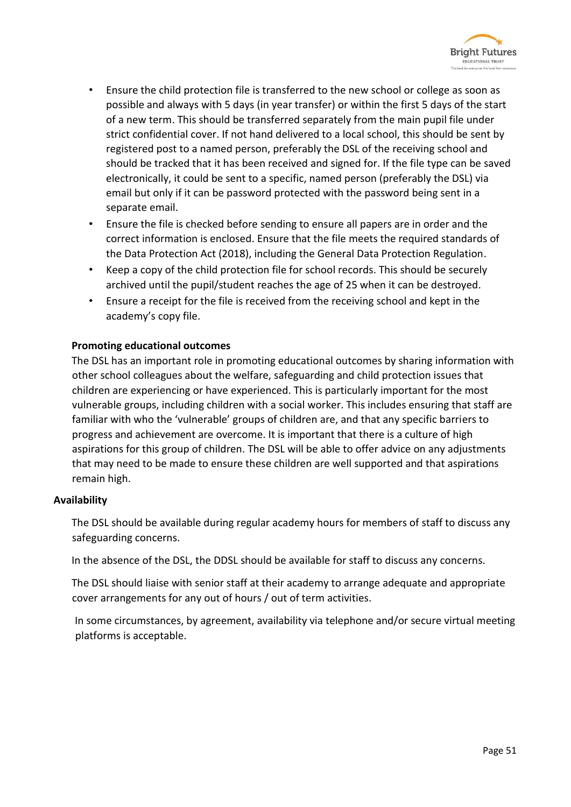

- Ensure the child protection file is transferred to the new school or college as soon as possible and always with 5 days (in year transfer) or within the first 5 days of the start of a new term. This should be transferred separately from the main pupil file under strict confidential cover. If not hand delivered to a local school, this should be sent by registered post to a named person, preferably the DSL of the receiving school and should be tracked that it has been received and signed for. If the file type can be saved electronically, it could be sent to a specific, named person (preferably the DSL) via email but only if it can be password protected with the password being sent in a separate email.
- Ensure the file is checked before sending to ensure all papers are in order and the correct information is enclosed. Ensure that the file meets the required standards of the Data Protection Act (2018), including the General Data Protection Regulation.
- Keep a copy of the child protection file for school records. This should be securely archived until the pupil/student reaches the age of 25 when it can be destroyed.
- Ensure a receipt for the file is received from the receiving school and kept in the academy's copy file.

## **Promoting educational outcomes**

The DSL has an important role in promoting educational outcomes by sharing information with other school colleagues about the welfare, safeguarding and child protection issues that children are experiencing or have experienced. This is particularly important for the most vulnerable groups, including children with a social worker. This includes ensuring that staff are familiar with who the 'vulnerable' groups of children are, and that any specific barriers to progress and achievement are overcome. It is important that there is a culture of high aspirations for this group of children. The DSL will be able to offer advice on any adjustments that may need to be made to ensure these children are well supported and that aspirations remain high.

#### **Availability**

The DSL should be available during regular academy hours for members of staff to discuss any safeguarding concerns.

In the absence of the DSL, the DDSL should be available for staff to discuss any concerns.

The DSL should liaise with senior staff at their academy to arrange adequate and appropriate cover arrangements for any out of hours / out of term activities.

In some circumstances, by agreement, availability via telephone and/or secure virtual meeting platforms is acceptable.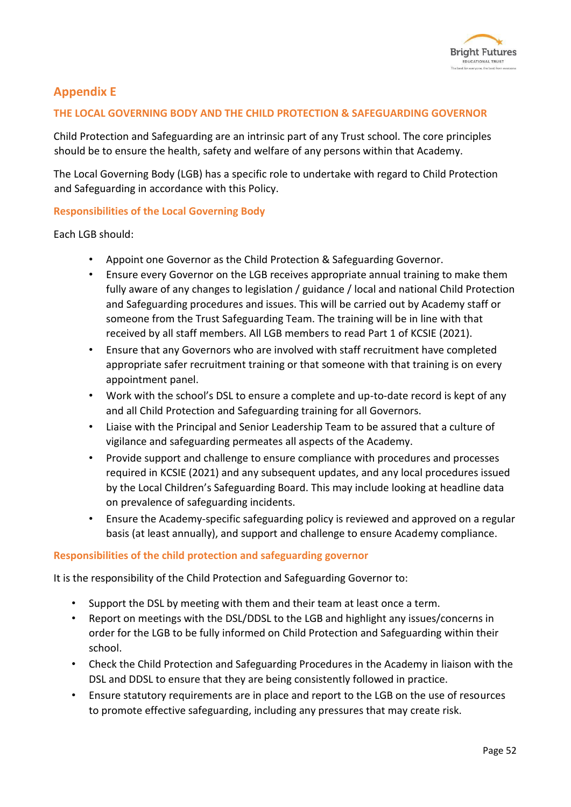

# **Appendix E**

## **THE LOCAL GOVERNING BODY AND THE CHILD PROTECTION & SAFEGUARDING GOVERNOR**

Child Protection and Safeguarding are an intrinsic part of any Trust school. The core principles should be to ensure the health, safety and welfare of any persons within that Academy.

The Local Governing Body (LGB) has a specific role to undertake with regard to Child Protection and Safeguarding in accordance with this Policy.

#### **Responsibilities of the Local Governing Body**

Each LGB should:

- Appoint one Governor as the Child Protection & Safeguarding Governor.
- Ensure every Governor on the LGB receives appropriate annual training to make them fully aware of any changes to legislation / guidance / local and national Child Protection and Safeguarding procedures and issues. This will be carried out by Academy staff or someone from the Trust Safeguarding Team. The training will be in line with that received by all staff members. All LGB members to read Part 1 of KCSIE (2021).
- Ensure that any Governors who are involved with staff recruitment have completed appropriate safer recruitment training or that someone with that training is on every appointment panel.
- Work with the school's DSL to ensure a complete and up-to-date record is kept of any and all Child Protection and Safeguarding training for all Governors.
- Liaise with the Principal and Senior Leadership Team to be assured that a culture of vigilance and safeguarding permeates all aspects of the Academy.
- Provide support and challenge to ensure compliance with procedures and processes required in KCSIE (2021) and any subsequent updates, and any local procedures issued by the Local Children's Safeguarding Board. This may include looking at headline data on prevalence of safeguarding incidents.
- Ensure the Academy-specific safeguarding policy is reviewed and approved on a regular basis (at least annually), and support and challenge to ensure Academy compliance.

## **Responsibilities of the child protection and safeguarding governor**

It is the responsibility of the Child Protection and Safeguarding Governor to:

- Support the DSL by meeting with them and their team at least once a term.
- Report on meetings with the DSL/DDSL to the LGB and highlight any issues/concerns in order for the LGB to be fully informed on Child Protection and Safeguarding within their school.
- Check the Child Protection and Safeguarding Procedures in the Academy in liaison with the DSL and DDSL to ensure that they are being consistently followed in practice.
- Ensure statutory requirements are in place and report to the LGB on the use of resources to promote effective safeguarding, including any pressures that may create risk.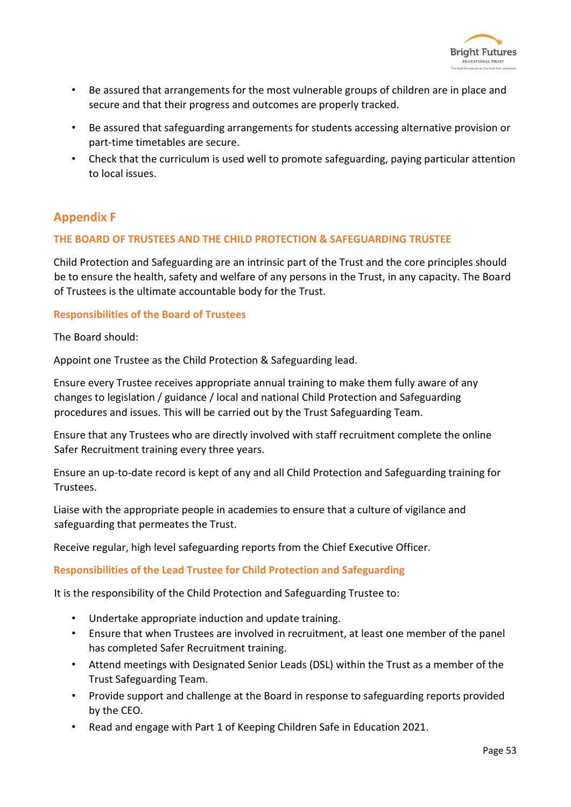

- Be assured that arrangements for the most vulnerable groups of children are in place and secure and that their progress and outcomes are properly tracked.
- Be assured that safeguarding arrangements for students accessing alternative provision or part-time timetables are secure.
- Check that the curriculum is used well to promote safeguarding, paying particular attention to local issues.

# **Appendix F**

## **THE BOARD OF TRUSTEES AND THE CHILD PROTECTION & SAFEGUARDING TRUSTEE**

Child Protection and Safeguarding are an intrinsic part of the Trust and the core principles should be to ensure the health, safety and welfare of any persons in the Trust, in any capacity. The Board of Trustees is the ultimate accountable body for the Trust.

## **Responsibilities of the Board of Trustees**

The Board should:

Appoint one Trustee as the Child Protection & Safeguarding lead.

Ensure every Trustee receives appropriate annual training to make them fully aware of any changes to legislation / guidance / local and national Child Protection and Safeguarding procedures and issues. This will be carried out by the Trust Safeguarding Team.

Ensure that any Trustees who are directly involved with staff recruitment complete the online Safer Recruitment training every three years.

Ensure an up-to-date record is kept of any and all Child Protection and Safeguarding training for Trustees.

Liaise with the appropriate people in academies to ensure that a culture of vigilance and safeguarding that permeates the Trust.

Receive regular, high level safeguarding reports from the Chief Executive Officer.

## **Responsibilities of the Lead Trustee for Child Protection and Safeguarding**

It is the responsibility of the Child Protection and Safeguarding Trustee to:

- Undertake appropriate induction and update training.
- Ensure that when Trustees are involved in recruitment, at least one member of the panel has completed Safer Recruitment training.
- Attend meetings with Designated Senior Leads (DSL) within the Trust as a member of the Trust Safeguarding Team.
- Provide support and challenge at the Board in response to safeguarding reports provided by the CEO.
- Read and engage with Part 1 of Keeping Children Safe in Education 2021.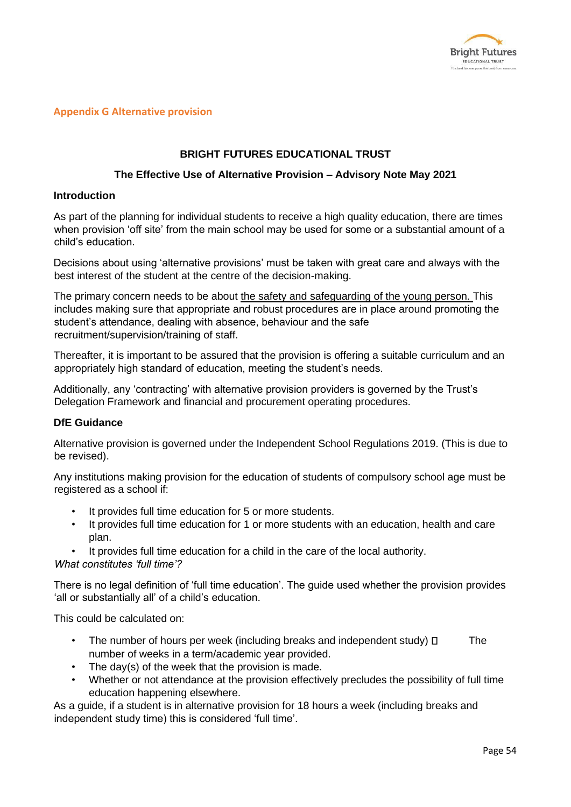

#### **Appendix G Alternative provision**

## **BRIGHT FUTURES EDUCATIONAL TRUST**

#### **The Effective Use of Alternative Provision – Advisory Note May 2021**

#### **Introduction**

As part of the planning for individual students to receive a high quality education, there are times when provision 'off site' from the main school may be used for some or a substantial amount of a child's education.

Decisions about using 'alternative provisions' must be taken with great care and always with the best interest of the student at the centre of the decision-making.

The primary concern needs to be about the safety and safeguarding of the young person. This includes making sure that appropriate and robust procedures are in place around promoting the student's attendance, dealing with absence, behaviour and the safe recruitment/supervision/training of staff.

Thereafter, it is important to be assured that the provision is offering a suitable curriculum and an appropriately high standard of education, meeting the student's needs.

Additionally, any 'contracting' with alternative provision providers is governed by the Trust's Delegation Framework and financial and procurement operating procedures.

#### **DfE Guidance**

Alternative provision is governed under the Independent School Regulations 2019. (This is due to be revised).

Any institutions making provision for the education of students of compulsory school age must be registered as a school if:

- It provides full time education for 5 or more students.
- It provides full time education for 1 or more students with an education, health and care plan.
- It provides full time education for a child in the care of the local authority.

#### *What constitutes 'full time'?*

There is no legal definition of 'full time education'. The guide used whether the provision provides 'all or substantially all' of a child's education.

This could be calculated on:

- The number of hours per week (including breaks and independent study)  $\Box$  The number of weeks in a term/academic year provided.
- The day(s) of the week that the provision is made.
- Whether or not attendance at the provision effectively precludes the possibility of full time education happening elsewhere.

As a guide, if a student is in alternative provision for 18 hours a week (including breaks and independent study time) this is considered 'full time'.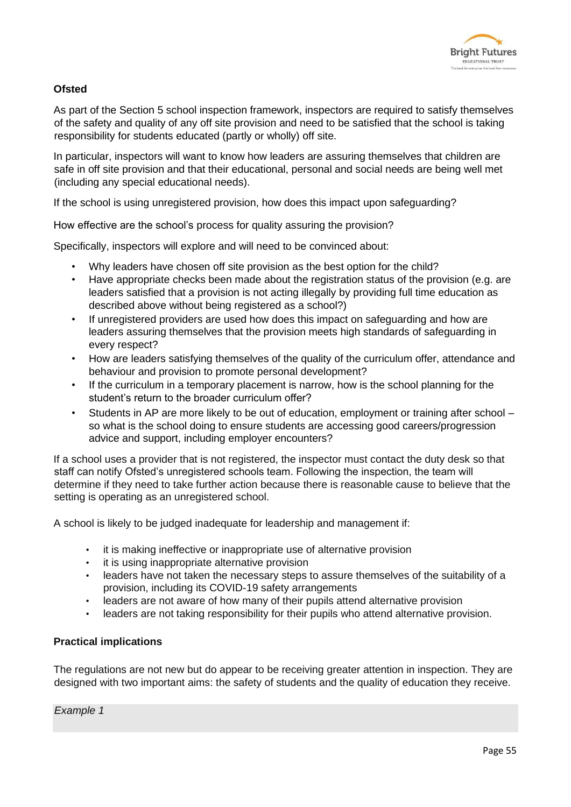

## **Ofsted**

As part of the Section 5 school inspection framework, inspectors are required to satisfy themselves of the safety and quality of any off site provision and need to be satisfied that the school is taking responsibility for students educated (partly or wholly) off site.

In particular, inspectors will want to know how leaders are assuring themselves that children are safe in off site provision and that their educational, personal and social needs are being well met (including any special educational needs).

If the school is using unregistered provision, how does this impact upon safeguarding?

How effective are the school's process for quality assuring the provision?

Specifically, inspectors will explore and will need to be convinced about:

- Why leaders have chosen off site provision as the best option for the child?
- Have appropriate checks been made about the registration status of the provision (e.g. are leaders satisfied that a provision is not acting illegally by providing full time education as described above without being registered as a school?)
- If unregistered providers are used how does this impact on safeguarding and how are leaders assuring themselves that the provision meets high standards of safeguarding in every respect?
- How are leaders satisfying themselves of the quality of the curriculum offer, attendance and behaviour and provision to promote personal development?
- If the curriculum in a temporary placement is narrow, how is the school planning for the student's return to the broader curriculum offer?
- Students in AP are more likely to be out of education, employment or training after school so what is the school doing to ensure students are accessing good careers/progression advice and support, including employer encounters?

If a school uses a provider that is not registered, the inspector must contact the duty desk so that staff can notify Ofsted's unregistered schools team. Following the inspection, the team will determine if they need to take further action because there is reasonable cause to believe that the setting is operating as an unregistered school.

A school is likely to be judged inadequate for leadership and management if:

- it is making ineffective or inappropriate use of alternative provision
- it is using inappropriate alternative provision
- leaders have not taken the necessary steps to assure themselves of the suitability of a provision, including its COVID-19 safety arrangements
- leaders are not aware of how many of their pupils attend alternative provision
- leaders are not taking responsibility for their pupils who attend alternative provision.

#### **Practical implications**

The regulations are not new but do appear to be receiving greater attention in inspection. They are designed with two important aims: the safety of students and the quality of education they receive.

*Example 1*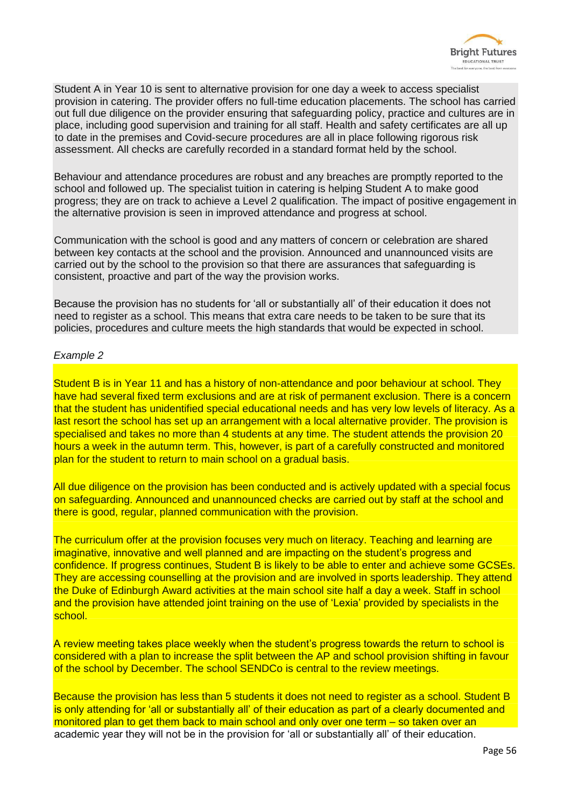

Student A in Year 10 is sent to alternative provision for one day a week to access specialist provision in catering. The provider offers no full-time education placements. The school has carried out full due diligence on the provider ensuring that safeguarding policy, practice and cultures are in place, including good supervision and training for all staff. Health and safety certificates are all up to date in the premises and Covid-secure procedures are all in place following rigorous risk assessment. All checks are carefully recorded in a standard format held by the school.

Behaviour and attendance procedures are robust and any breaches are promptly reported to the school and followed up. The specialist tuition in catering is helping Student A to make good progress; they are on track to achieve a Level 2 qualification. The impact of positive engagement in the alternative provision is seen in improved attendance and progress at school.

Communication with the school is good and any matters of concern or celebration are shared between key contacts at the school and the provision. Announced and unannounced visits are carried out by the school to the provision so that there are assurances that safeguarding is consistent, proactive and part of the way the provision works.

Because the provision has no students for 'all or substantially all' of their education it does not need to register as a school. This means that extra care needs to be taken to be sure that its policies, procedures and culture meets the high standards that would be expected in school.

#### *Example 2*

Student B is in Year 11 and has a history of non-attendance and poor behaviour at school. They have had several fixed term exclusions and are at risk of permanent exclusion. There is a concern that the student has unidentified special educational needs and has very low levels of literacy. As a last resort the school has set up an arrangement with a local alternative provider. The provision is specialised and takes no more than 4 students at any time. The student attends the provision 20 hours a week in the autumn term. This, however, is part of a carefully constructed and monitored plan for the student to return to main school on a gradual basis.

All due diligence on the provision has been conducted and is actively updated with a special focus on safeguarding. Announced and unannounced checks are carried out by staff at the school and there is good, regular, planned communication with the provision.

The curriculum offer at the provision focuses very much on literacy. Teaching and learning are imaginative, innovative and well planned and are impacting on the student's progress and confidence. If progress continues, Student B is likely to be able to enter and achieve some GCSEs. They are accessing counselling at the provision and are involved in sports leadership. They attend the Duke of Edinburgh Award activities at the main school site half a day a week. Staff in school and the provision have attended joint training on the use of 'Lexia' provided by specialists in the school.

A review meeting takes place weekly when the student's progress towards the return to school is considered with a plan to increase the split between the AP and school provision shifting in favour of the school by December. The school SENDCo is central to the review meetings.

Because the provision has less than 5 students it does not need to register as a school. Student B is only attending for 'all or substantially all' of their education as part of a clearly documented and monitored plan to get them back to main school and only over one term – so taken over an academic year they will not be in the provision for 'all or substantially all' of their education.